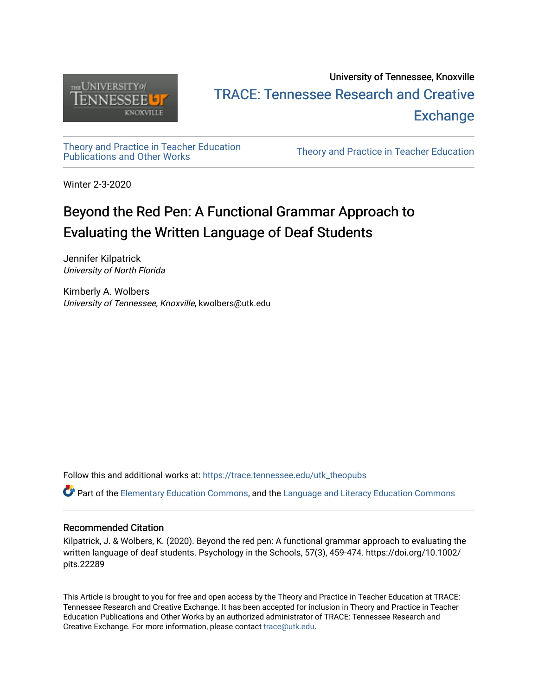

# University of Tennessee, Knoxville TRACE: T[ennessee Research and Cr](https://trace.tennessee.edu/)eative **Exchange**

# [Theory and Practice in Teacher Education](https://trace.tennessee.edu/utk_theopubs)

Theory and Practice in Teacher Education

Winter 2-3-2020

# Beyond the Red Pen: A Functional Grammar Approach to Evaluating the Written Language of Deaf Students

Jennifer Kilpatrick University of North Florida

Kimberly A. Wolbers University of Tennessee, Knoxville, kwolbers@utk.edu

Follow this and additional works at: [https://trace.tennessee.edu/utk\\_theopubs](https://trace.tennessee.edu/utk_theopubs?utm_source=trace.tennessee.edu%2Futk_theopubs%2F23&utm_medium=PDF&utm_campaign=PDFCoverPages)

Part of the [Elementary Education Commons,](https://network.bepress.com/hgg/discipline/1378?utm_source=trace.tennessee.edu%2Futk_theopubs%2F23&utm_medium=PDF&utm_campaign=PDFCoverPages) and the [Language and Literacy Education Commons](https://network.bepress.com/hgg/discipline/1380?utm_source=trace.tennessee.edu%2Futk_theopubs%2F23&utm_medium=PDF&utm_campaign=PDFCoverPages)

## Recommended Citation

Kilpatrick, J. & Wolbers, K. (2020). Beyond the red pen: A functional grammar approach to evaluating the written language of deaf students. Psychology in the Schools, 57(3), 459-474. https://doi.org/10.1002/ pits.22289

This Article is brought to you for free and open access by the Theory and Practice in Teacher Education at TRACE: Tennessee Research and Creative Exchange. It has been accepted for inclusion in Theory and Practice in Teacher Education Publications and Other Works by an authorized administrator of TRACE: Tennessee Research and Creative Exchange. For more information, please contact [trace@utk.edu](mailto:trace@utk.edu).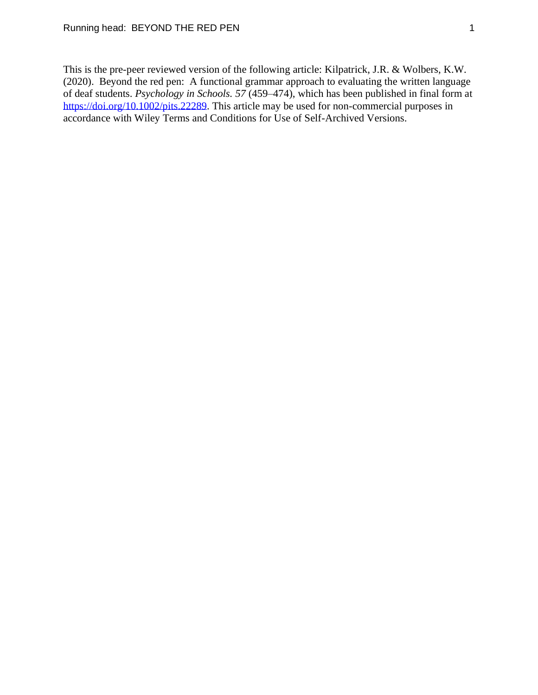This is the pre-peer reviewed version of the following article: Kilpatrick, J.R. & Wolbers, K.W. (2020). Beyond the red pen: A functional grammar approach to evaluating the written language of deaf students. *Psychology in Schools. 57* (459–474), which has been published in final form at [https://doi.org/10.1002/pits.22289.](https://doi.org/10.1002/pits.22289) This article may be used for non-commercial purposes in accordance with Wiley Terms and Conditions for Use of Self-Archived Versions.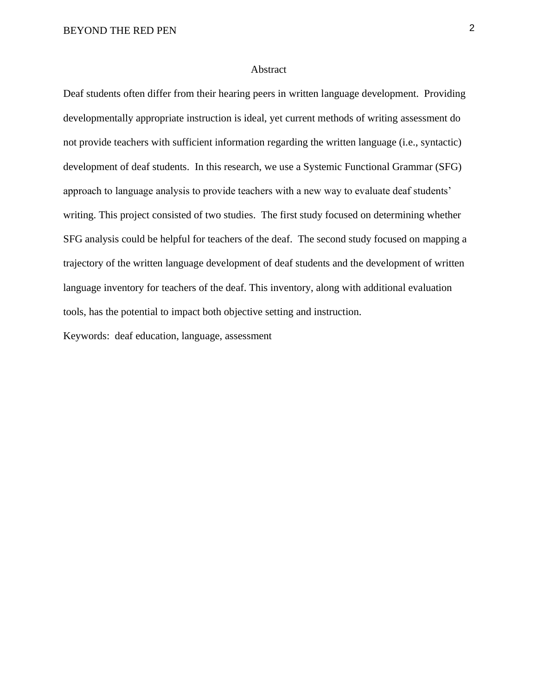#### Abstract

Deaf students often differ from their hearing peers in written language development. Providing developmentally appropriate instruction is ideal, yet current methods of writing assessment do not provide teachers with sufficient information regarding the written language (i.e., syntactic) development of deaf students. In this research, we use a Systemic Functional Grammar (SFG) approach to language analysis to provide teachers with a new way to evaluate deaf students' writing. This project consisted of two studies. The first study focused on determining whether SFG analysis could be helpful for teachers of the deaf. The second study focused on mapping a trajectory of the written language development of deaf students and the development of written language inventory for teachers of the deaf. This inventory, along with additional evaluation tools, has the potential to impact both objective setting and instruction.

Keywords: deaf education, language, assessment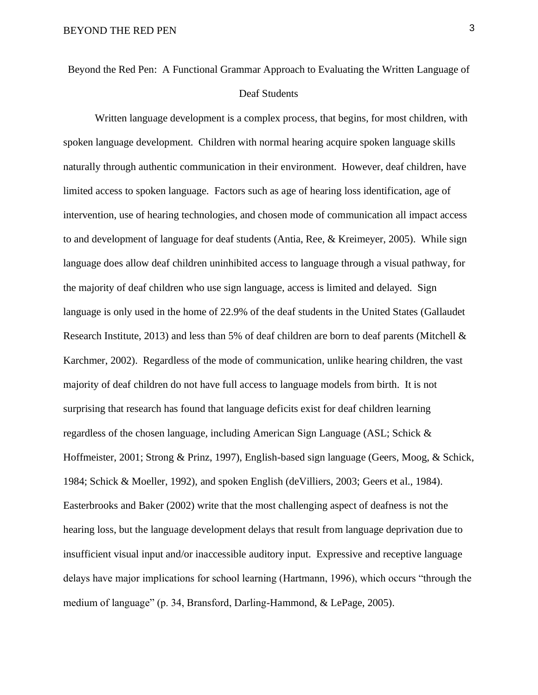Beyond the Red Pen: A Functional Grammar Approach to Evaluating the Written Language of Deaf Students

Written language development is a complex process, that begins, for most children, with spoken language development. Children with normal hearing acquire spoken language skills naturally through authentic communication in their environment. However, deaf children, have limited access to spoken language. Factors such as age of hearing loss identification, age of intervention, use of hearing technologies, and chosen mode of communication all impact access to and development of language for deaf students (Antia, Ree, & Kreimeyer, 2005). While sign language does allow deaf children uninhibited access to language through a visual pathway, for the majority of deaf children who use sign language, access is limited and delayed. Sign language is only used in the home of 22.9% of the deaf students in the United States (Gallaudet Research Institute, 2013) and less than 5% of deaf children are born to deaf parents (Mitchell & Karchmer, 2002). Regardless of the mode of communication, unlike hearing children, the vast majority of deaf children do not have full access to language models from birth. It is not surprising that research has found that language deficits exist for deaf children learning regardless of the chosen language, including American Sign Language (ASL; Schick & Hoffmeister, 2001; Strong & Prinz, 1997), English-based sign language (Geers, Moog, & Schick, 1984; Schick & Moeller, 1992), and spoken English (deVilliers, 2003; Geers et al., 1984). Easterbrooks and Baker (2002) write that the most challenging aspect of deafness is not the hearing loss, but the language development delays that result from language deprivation due to insufficient visual input and/or inaccessible auditory input. Expressive and receptive language delays have major implications for school learning (Hartmann, 1996), which occurs "through the medium of language" (p. 34, Bransford, Darling-Hammond, & LePage, 2005).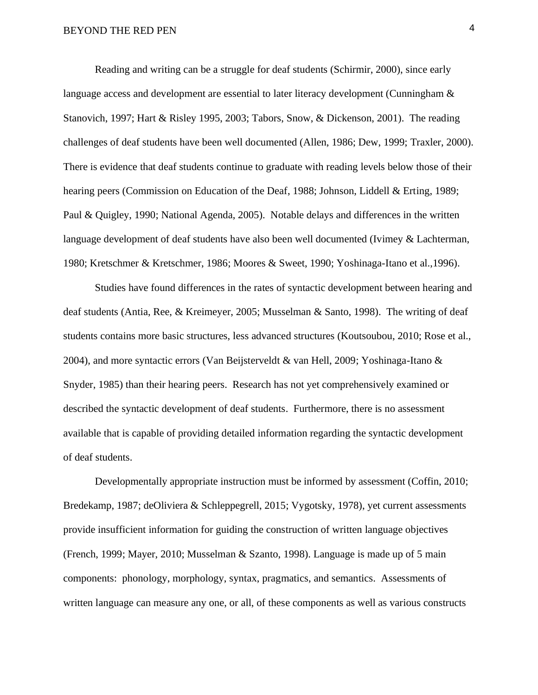Reading and writing can be a struggle for deaf students (Schirmir, 2000), since early language access and development are essential to later literacy development (Cunningham  $\&$ Stanovich, 1997; Hart & Risley 1995, 2003; Tabors, Snow, & Dickenson, 2001). The reading challenges of deaf students have been well documented (Allen, 1986; Dew, 1999; Traxler, 2000). There is evidence that deaf students continue to graduate with reading levels below those of their hearing peers (Commission on Education of the Deaf, 1988; Johnson, Liddell & Erting, 1989; Paul & Quigley, 1990; National Agenda, 2005). Notable delays and differences in the written language development of deaf students have also been well documented (Ivimey & Lachterman, 1980; Kretschmer & Kretschmer, 1986; Moores & Sweet, 1990; Yoshinaga-Itano et al.,1996).

 Studies have found differences in the rates of syntactic development between hearing and deaf students (Antia, Ree, & Kreimeyer, 2005; Musselman & Santo, 1998). The writing of deaf students contains more basic structures, less advanced structures (Koutsoubou, 2010; Rose et al., 2004), and more syntactic errors (Van Beijsterveldt & van Hell, 2009; Yoshinaga-Itano & Snyder, 1985) than their hearing peers. Research has not yet comprehensively examined or described the syntactic development of deaf students. Furthermore, there is no assessment available that is capable of providing detailed information regarding the syntactic development of deaf students.

 Developmentally appropriate instruction must be informed by assessment (Coffin, 2010; Bredekamp, 1987; deOliviera & Schleppegrell, 2015; Vygotsky, 1978), yet current assessments provide insufficient information for guiding the construction of written language objectives (French, 1999; Mayer, 2010; Musselman & Szanto, 1998). Language is made up of 5 main components: phonology, morphology, syntax, pragmatics, and semantics. Assessments of written language can measure any one, or all, of these components as well as various constructs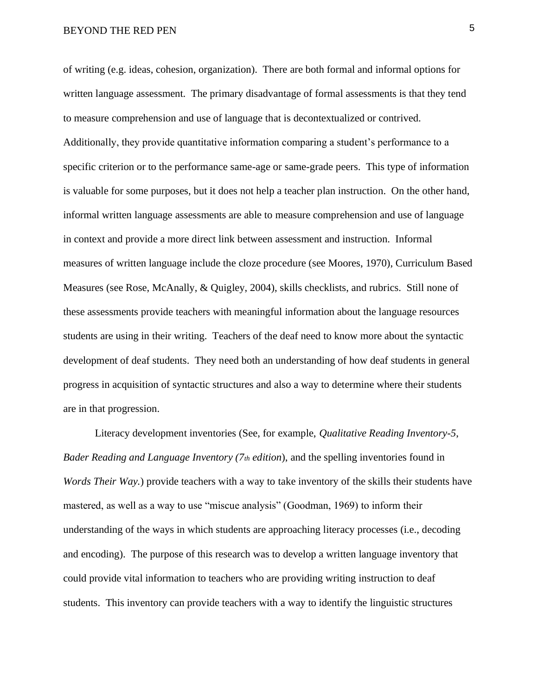of writing (e.g. ideas, cohesion, organization). There are both formal and informal options for written language assessment. The primary disadvantage of formal assessments is that they tend to measure comprehension and use of language that is decontextualized or contrived. Additionally, they provide quantitative information comparing a student's performance to a specific criterion or to the performance same-age or same-grade peers. This type of information is valuable for some purposes, but it does not help a teacher plan instruction. On the other hand, informal written language assessments are able to measure comprehension and use of language in context and provide a more direct link between assessment and instruction. Informal measures of written language include the cloze procedure (see Moores, 1970), Curriculum Based Measures (see Rose, McAnally, & Quigley, 2004), skills checklists, and rubrics. Still none of these assessments provide teachers with meaningful information about the language resources students are using in their writing. Teachers of the deaf need to know more about the syntactic development of deaf students. They need both an understanding of how deaf students in general progress in acquisition of syntactic structures and also a way to determine where their students are in that progression.

Literacy development inventories (See, for example, *Qualitative Reading Inventory-5*, *Bader Reading and Language Inventory (7th edition*), and the spelling inventories found in *Words Their Way.*) provide teachers with a way to take inventory of the skills their students have mastered, as well as a way to use "miscue analysis" (Goodman, 1969) to inform their understanding of the ways in which students are approaching literacy processes (i.e., decoding and encoding). The purpose of this research was to develop a written language inventory that could provide vital information to teachers who are providing writing instruction to deaf students. This inventory can provide teachers with a way to identify the linguistic structures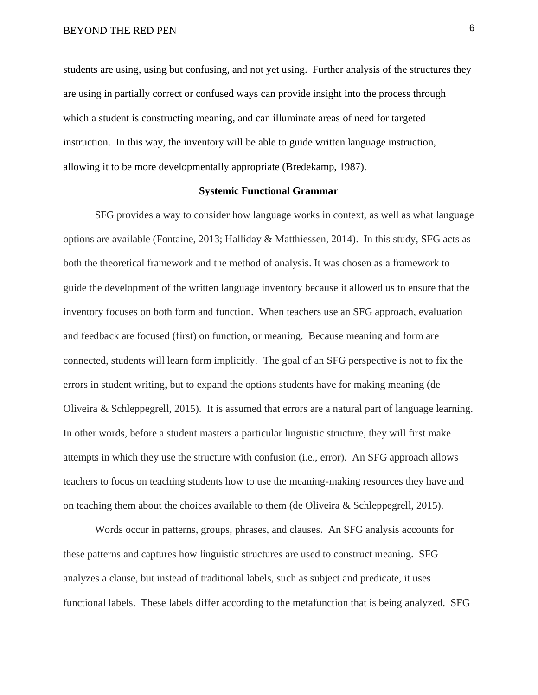students are using, using but confusing, and not yet using. Further analysis of the structures they are using in partially correct or confused ways can provide insight into the process through which a student is constructing meaning, and can illuminate areas of need for targeted instruction. In this way, the inventory will be able to guide written language instruction, allowing it to be more developmentally appropriate (Bredekamp, 1987).

#### **Systemic Functional Grammar**

SFG provides a way to consider how language works in context, as well as what language options are available (Fontaine, 2013; Halliday & Matthiessen, 2014). In this study, SFG acts as both the theoretical framework and the method of analysis. It was chosen as a framework to guide the development of the written language inventory because it allowed us to ensure that the inventory focuses on both form and function. When teachers use an SFG approach, evaluation and feedback are focused (first) on function, or meaning. Because meaning and form are connected, students will learn form implicitly. The goal of an SFG perspective is not to fix the errors in student writing, but to expand the options students have for making meaning (de Oliveira & Schleppegrell, 2015). It is assumed that errors are a natural part of language learning. In other words, before a student masters a particular linguistic structure, they will first make attempts in which they use the structure with confusion (i.e., error). An SFG approach allows teachers to focus on teaching students how to use the meaning-making resources they have and on teaching them about the choices available to them (de Oliveira & Schleppegrell, 2015).

Words occur in patterns, groups, phrases, and clauses. An SFG analysis accounts for these patterns and captures how linguistic structures are used to construct meaning. SFG analyzes a clause, but instead of traditional labels, such as subject and predicate, it uses functional labels. These labels differ according to the metafunction that is being analyzed. SFG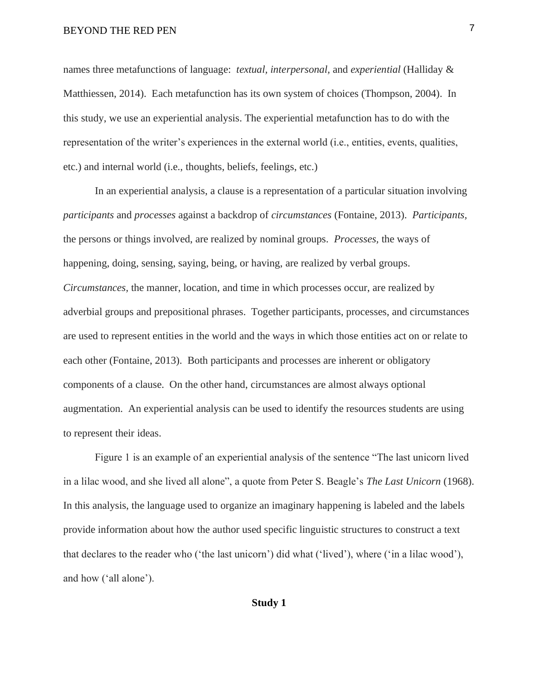names three metafunctions of language: *textual, interpersonal,* and *experiential* (Halliday & Matthiessen, 2014). Each metafunction has its own system of choices (Thompson, 2004). In this study, we use an experiential analysis. The experiential metafunction has to do with the representation of the writer's experiences in the external world (i.e., entities, events, qualities, etc.) and internal world (i.e., thoughts, beliefs, feelings, etc.)

In an experiential analysis, a clause is a representation of a particular situation involving *participants* and *processes* against a backdrop of *circumstances* (Fontaine, 2013). *Participants,*  the persons or things involved, are realized by nominal groups. *Processes,* the ways of happening, doing, sensing, saying, being, or having, are realized by verbal groups. *Circumstances,* the manner, location, and time in which processes occur, are realized by adverbial groups and prepositional phrases. Together participants, processes, and circumstances are used to represent entities in the world and the ways in which those entities act on or relate to each other (Fontaine, 2013). Both participants and processes are inherent or obligatory components of a clause. On the other hand, circumstances are almost always optional augmentation. An experiential analysis can be used to identify the resources students are using to represent their ideas.

Figure 1 is an example of an experiential analysis of the sentence "The last unicorn lived in a lilac wood, and she lived all alone", a quote from Peter S. Beagle's *The Last Unicorn* (1968). In this analysis, the language used to organize an imaginary happening is labeled and the labels provide information about how the author used specific linguistic structures to construct a text that declares to the reader who ('the last unicorn') did what ('lived'), where ('in a lilac wood'), and how ('all alone').

#### **Study 1**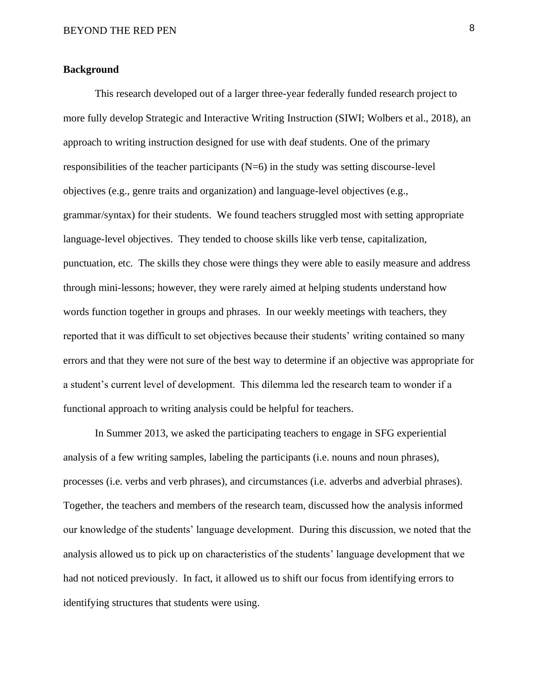#### **Background**

This research developed out of a larger three-year federally funded research project to more fully develop Strategic and Interactive Writing Instruction (SIWI; Wolbers et al., 2018), an approach to writing instruction designed for use with deaf students. One of the primary responsibilities of the teacher participants  $(N=6)$  in the study was setting discourse-level objectives (e.g., genre traits and organization) and language-level objectives (e.g., grammar/syntax) for their students. We found teachers struggled most with setting appropriate language-level objectives. They tended to choose skills like verb tense, capitalization, punctuation, etc. The skills they chose were things they were able to easily measure and address through mini-lessons; however, they were rarely aimed at helping students understand how words function together in groups and phrases. In our weekly meetings with teachers, they reported that it was difficult to set objectives because their students' writing contained so many errors and that they were not sure of the best way to determine if an objective was appropriate for a student's current level of development. This dilemma led the research team to wonder if a functional approach to writing analysis could be helpful for teachers.

In Summer 2013, we asked the participating teachers to engage in SFG experiential analysis of a few writing samples, labeling the participants (i.e. nouns and noun phrases), processes (i.e. verbs and verb phrases), and circumstances (i.e. adverbs and adverbial phrases). Together, the teachers and members of the research team, discussed how the analysis informed our knowledge of the students' language development. During this discussion, we noted that the analysis allowed us to pick up on characteristics of the students' language development that we had not noticed previously. In fact, it allowed us to shift our focus from identifying errors to identifying structures that students were using.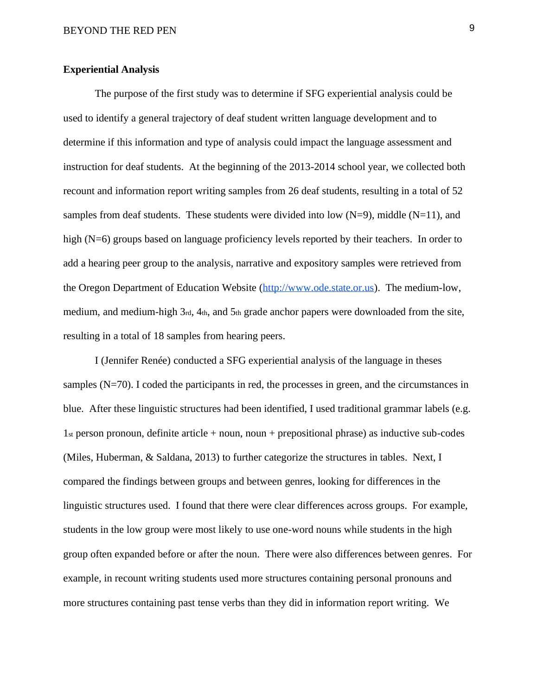### **Experiential Analysis**

The purpose of the first study was to determine if SFG experiential analysis could be used to identify a general trajectory of deaf student written language development and to determine if this information and type of analysis could impact the language assessment and instruction for deaf students. At the beginning of the 2013-2014 school year, we collected both recount and information report writing samples from 26 deaf students, resulting in a total of 52 samples from deaf students. These students were divided into low  $(N=9)$ , middle  $(N=11)$ , and high (N=6) groups based on language proficiency levels reported by their teachers. In order to add a hearing peer group to the analysis, narrative and expository samples were retrieved from the Oregon Department of Education Website [\(http://www.ode.state.or.us\)](http://www.ode.state.or.us/). The medium-low, medium, and medium-high 3rd, 4th, and 5th grade anchor papers were downloaded from the site, resulting in a total of 18 samples from hearing peers.

 I (Jennifer Renée) conducted a SFG experiential analysis of the language in theses samples  $(N=70)$ . I coded the participants in red, the processes in green, and the circumstances in blue. After these linguistic structures had been identified, I used traditional grammar labels (e.g.  $1<sub>st</sub> person pronoun, definite article + noun, noun + prepositional phrase) as inductive sub-codes$ (Miles, Huberman, & Saldana, 2013) to further categorize the structures in tables. Next, I compared the findings between groups and between genres, looking for differences in the linguistic structures used. I found that there were clear differences across groups. For example, students in the low group were most likely to use one-word nouns while students in the high group often expanded before or after the noun. There were also differences between genres. For example, in recount writing students used more structures containing personal pronouns and more structures containing past tense verbs than they did in information report writing. We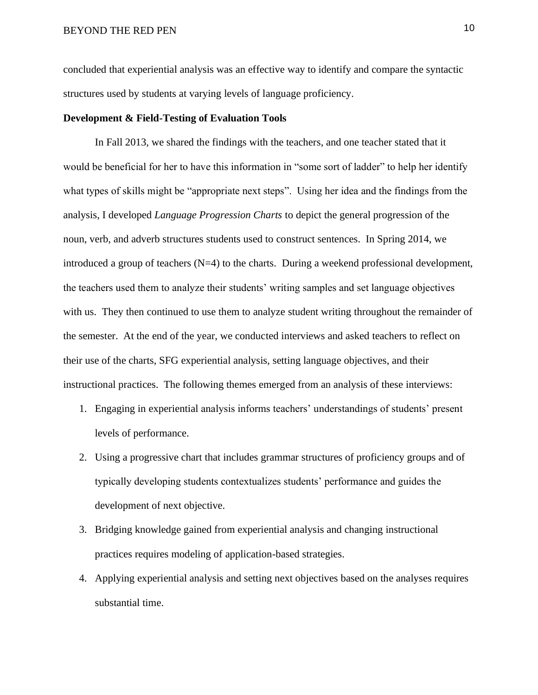concluded that experiential analysis was an effective way to identify and compare the syntactic structures used by students at varying levels of language proficiency.

### **Development & Field-Testing of Evaluation Tools**

In Fall 2013, we shared the findings with the teachers, and one teacher stated that it would be beneficial for her to have this information in "some sort of ladder" to help her identify what types of skills might be "appropriate next steps". Using her idea and the findings from the analysis, I developed *Language Progression Charts* to depict the general progression of the noun, verb, and adverb structures students used to construct sentences. In Spring 2014, we introduced a group of teachers  $(N=4)$  to the charts. During a weekend professional development, the teachers used them to analyze their students' writing samples and set language objectives with us. They then continued to use them to analyze student writing throughout the remainder of the semester. At the end of the year, we conducted interviews and asked teachers to reflect on their use of the charts, SFG experiential analysis, setting language objectives, and their instructional practices. The following themes emerged from an analysis of these interviews:

- 1. Engaging in experiential analysis informs teachers' understandings of students' present levels of performance.
- 2. Using a progressive chart that includes grammar structures of proficiency groups and of typically developing students contextualizes students' performance and guides the development of next objective.
- 3. Bridging knowledge gained from experiential analysis and changing instructional practices requires modeling of application-based strategies.
- 4. Applying experiential analysis and setting next objectives based on the analyses requires substantial time.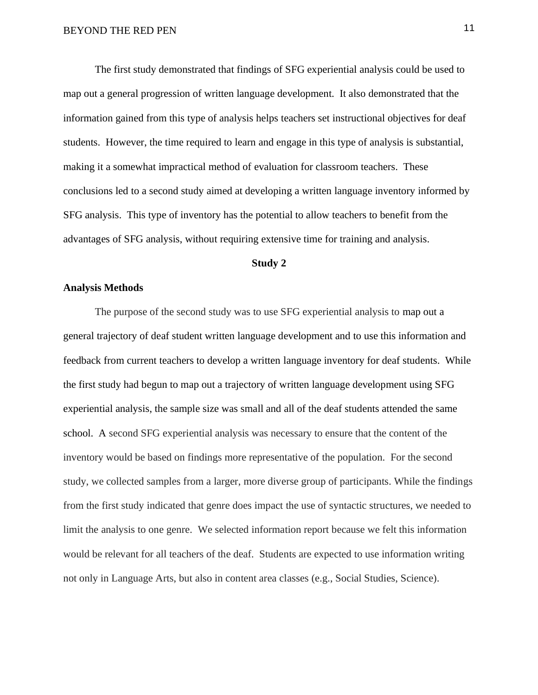The first study demonstrated that findings of SFG experiential analysis could be used to map out a general progression of written language development. It also demonstrated that the information gained from this type of analysis helps teachers set instructional objectives for deaf students. However, the time required to learn and engage in this type of analysis is substantial, making it a somewhat impractical method of evaluation for classroom teachers. These conclusions led to a second study aimed at developing a written language inventory informed by SFG analysis. This type of inventory has the potential to allow teachers to benefit from the advantages of SFG analysis, without requiring extensive time for training and analysis.

#### **Study 2**

#### **Analysis Methods**

The purpose of the second study was to use SFG experiential analysis to map out a general trajectory of deaf student written language development and to use this information and feedback from current teachers to develop a written language inventory for deaf students. While the first study had begun to map out a trajectory of written language development using SFG experiential analysis, the sample size was small and all of the deaf students attended the same school. A second SFG experiential analysis was necessary to ensure that the content of the inventory would be based on findings more representative of the population. For the second study, we collected samples from a larger, more diverse group of participants. While the findings from the first study indicated that genre does impact the use of syntactic structures, we needed to limit the analysis to one genre. We selected information report because we felt this information would be relevant for all teachers of the deaf. Students are expected to use information writing not only in Language Arts, but also in content area classes (e.g., Social Studies, Science).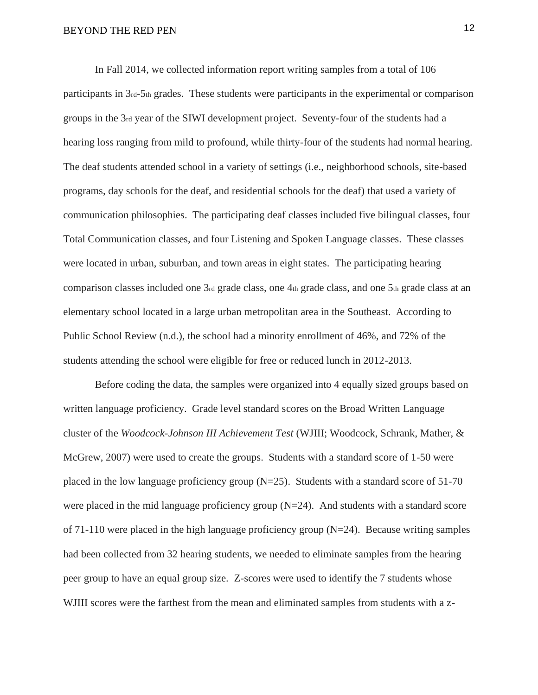In Fall 2014, we collected information report writing samples from a total of 106 participants in 3rd-5th grades. These students were participants in the experimental or comparison groups in the 3rd year of the SIWI development project. Seventy-four of the students had a hearing loss ranging from mild to profound, while thirty-four of the students had normal hearing. The deaf students attended school in a variety of settings (i.e., neighborhood schools, site-based programs, day schools for the deaf, and residential schools for the deaf) that used a variety of communication philosophies. The participating deaf classes included five bilingual classes, four Total Communication classes, and four Listening and Spoken Language classes. These classes were located in urban, suburban, and town areas in eight states. The participating hearing comparison classes included one 3rd grade class, one 4th grade class, and one 5th grade class at an elementary school located in a large urban metropolitan area in the Southeast. According to Public School Review (n.d.), the school had a minority enrollment of 46%, and 72% of the students attending the school were eligible for free or reduced lunch in 2012-2013.

Before coding the data, the samples were organized into 4 equally sized groups based on written language proficiency. Grade level standard scores on the Broad Written Language cluster of the *Woodcock-Johnson III Achievement Test* (WJIII; Woodcock, Schrank, Mather, & McGrew, 2007) were used to create the groups. Students with a standard score of 1-50 were placed in the low language proficiency group  $(N=25)$ . Students with a standard score of 51-70 were placed in the mid language proficiency group (N=24). And students with a standard score of 71-110 were placed in the high language proficiency group (N=24). Because writing samples had been collected from 32 hearing students, we needed to eliminate samples from the hearing peer group to have an equal group size. Z-scores were used to identify the 7 students whose WJIII scores were the farthest from the mean and eliminated samples from students with a z-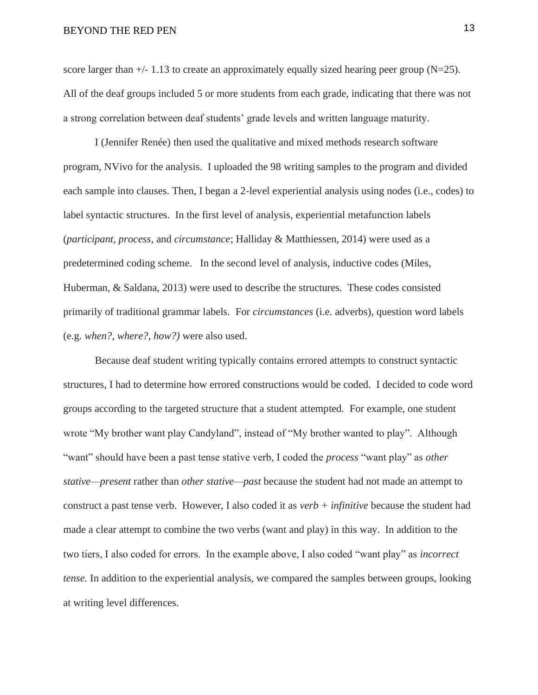score larger than  $+/- 1.13$  to create an approximately equally sized hearing peer group (N=25). All of the deaf groups included 5 or more students from each grade, indicating that there was not a strong correlation between deaf students' grade levels and written language maturity.

I (Jennifer Renée) then used the qualitative and mixed methods research software program, NVivo for the analysis. I uploaded the 98 writing samples to the program and divided each sample into clauses. Then, I began a 2-level experiential analysis using nodes (i.e., codes) to label syntactic structures. In the first level of analysis, experiential metafunction labels (*participant, process*, and *circumstance*; Halliday & Matthiessen, 2014) were used as a predetermined coding scheme. In the second level of analysis, inductive codes (Miles, Huberman, & Saldana, 2013) were used to describe the structures. These codes consisted primarily of traditional grammar labels. For *circumstances* (i.e. adverbs)*,* question word labels (e.g. *when?, where?, how?)* were also used.

Because deaf student writing typically contains errored attempts to construct syntactic structures, I had to determine how errored constructions would be coded. I decided to code word groups according to the targeted structure that a student attempted. For example, one student wrote "My brother want play Candyland", instead of "My brother wanted to play". Although "want" should have been a past tense stative verb, I coded the *process* "want play" as *other stative—present* rather than *other stative—past* because the student had not made an attempt to construct a past tense verb. However, I also coded it as *verb + infinitive* because the student had made a clear attempt to combine the two verbs (want and play) in this way. In addition to the two tiers, I also coded for errors. In the example above, I also coded "want play" as *incorrect tense.* In addition to the experiential analysis, we compared the samples between groups, looking at writing level differences.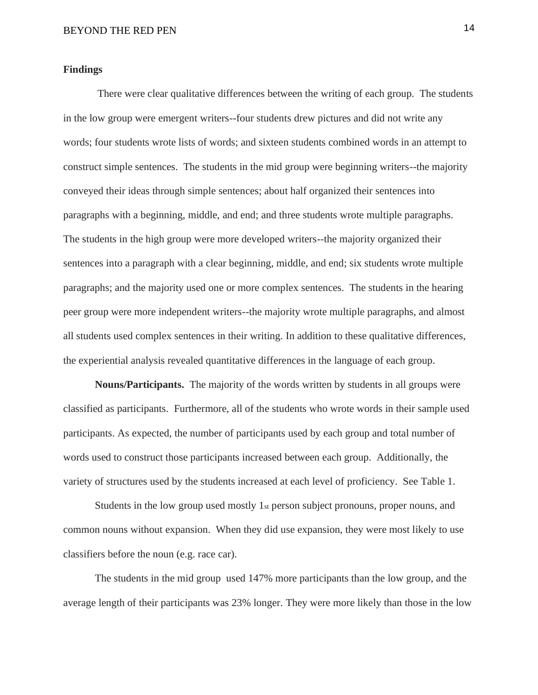#### **Findings**

There were clear qualitative differences between the writing of each group. The students in the low group were emergent writers--four students drew pictures and did not write any words; four students wrote lists of words; and sixteen students combined words in an attempt to construct simple sentences. The students in the mid group were beginning writers--the majority conveyed their ideas through simple sentences; about half organized their sentences into paragraphs with a beginning, middle, and end; and three students wrote multiple paragraphs. The students in the high group were more developed writers--the majority organized their sentences into a paragraph with a clear beginning, middle, and end; six students wrote multiple paragraphs; and the majority used one or more complex sentences. The students in the hearing peer group were more independent writers--the majority wrote multiple paragraphs, and almost all students used complex sentences in their writing. In addition to these qualitative differences, the experiential analysis revealed quantitative differences in the language of each group.

**Nouns/Participants.** The majority of the words written by students in all groups were classified as participants. Furthermore, all of the students who wrote words in their sample used participants. As expected, the number of participants used by each group and total number of words used to construct those participants increased between each group. Additionally, the variety of structures used by the students increased at each level of proficiency. See Table 1.

Students in the low group used mostly 1st person subject pronouns, proper nouns, and common nouns without expansion. When they did use expansion, they were most likely to use classifiers before the noun (e.g. race car).

The students in the mid group used 147% more participants than the low group, and the average length of their participants was 23% longer. They were more likely than those in the low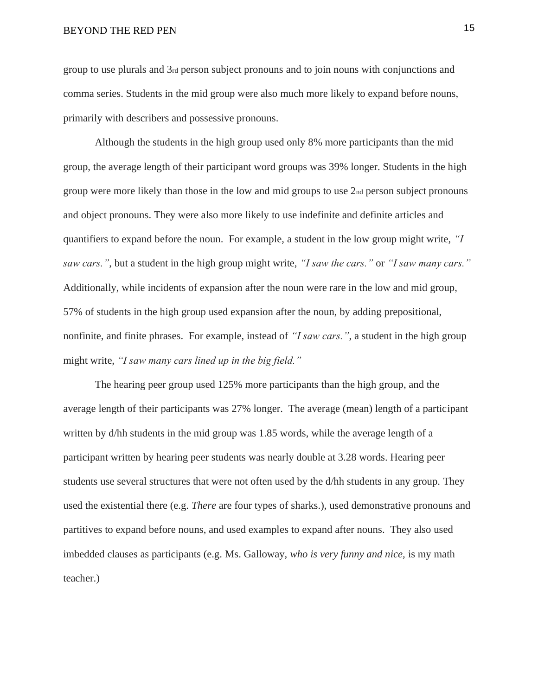group to use plurals and 3rd person subject pronouns and to join nouns with conjunctions and comma series. Students in the mid group were also much more likely to expand before nouns, primarily with describers and possessive pronouns.

Although the students in the high group used only 8% more participants than the mid group, the average length of their participant word groups was 39% longer. Students in the high group were more likely than those in the low and mid groups to use  $2<sub>nd</sub>$  person subject pronouns and object pronouns. They were also more likely to use indefinite and definite articles and quantifiers to expand before the noun. For example, a student in the low group might write, *"I saw cars."*, but a student in the high group might write, *"I saw the cars."* or *"I saw many cars."*  Additionally, while incidents of expansion after the noun were rare in the low and mid group, 57% of students in the high group used expansion after the noun, by adding prepositional, nonfinite, and finite phrases. For example, instead of *"I saw cars."*, a student in the high group might write, *"I saw many cars lined up in the big field."*

The hearing peer group used 125% more participants than the high group, and the average length of their participants was 27% longer. The average (mean) length of a participant written by d/hh students in the mid group was 1.85 words, while the average length of a participant written by hearing peer students was nearly double at 3.28 words. Hearing peer students use several structures that were not often used by the d/hh students in any group. They used the existential there (e.g. *There* are four types of sharks.), used demonstrative pronouns and partitives to expand before nouns, and used examples to expand after nouns. They also used imbedded clauses as participants (e.g. Ms. Galloway, *who is very funny and nice,* is my math teacher.)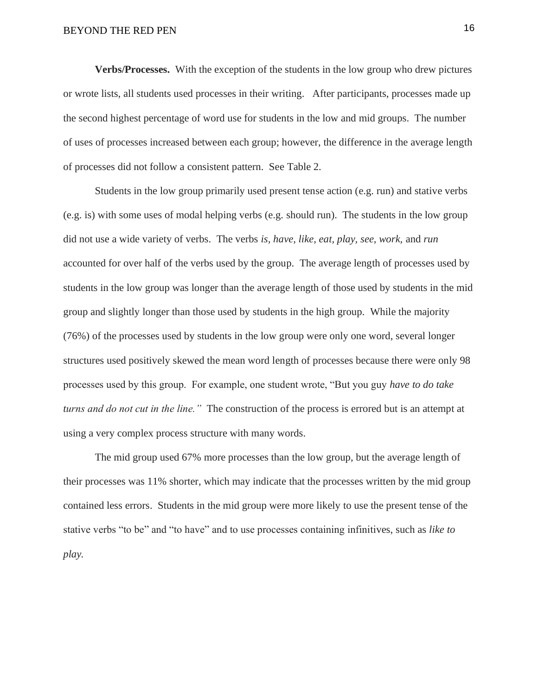**Verbs/Processes.** With the exception of the students in the low group who drew pictures or wrote lists, all students used processes in their writing. After participants, processes made up the second highest percentage of word use for students in the low and mid groups. The number of uses of processes increased between each group; however, the difference in the average length of processes did not follow a consistent pattern. See Table 2.

Students in the low group primarily used present tense action (e.g. run) and stative verbs (e.g. is) with some uses of modal helping verbs (e.g. should run). The students in the low group did not use a wide variety of verbs. The verbs *is, have, like, eat, play, see, work,* and *run*  accounted for over half of the verbs used by the group. The average length of processes used by students in the low group was longer than the average length of those used by students in the mid group and slightly longer than those used by students in the high group. While the majority (76%) of the processes used by students in the low group were only one word, several longer structures used positively skewed the mean word length of processes because there were only 98 processes used by this group. For example, one student wrote, "But you guy *have to do take turns and do not cut in the line."* The construction of the process is errored but is an attempt at using a very complex process structure with many words.

The mid group used 67% more processes than the low group, but the average length of their processes was 11% shorter, which may indicate that the processes written by the mid group contained less errors. Students in the mid group were more likely to use the present tense of the stative verbs "to be" and "to have" and to use processes containing infinitives, such as *like to play.*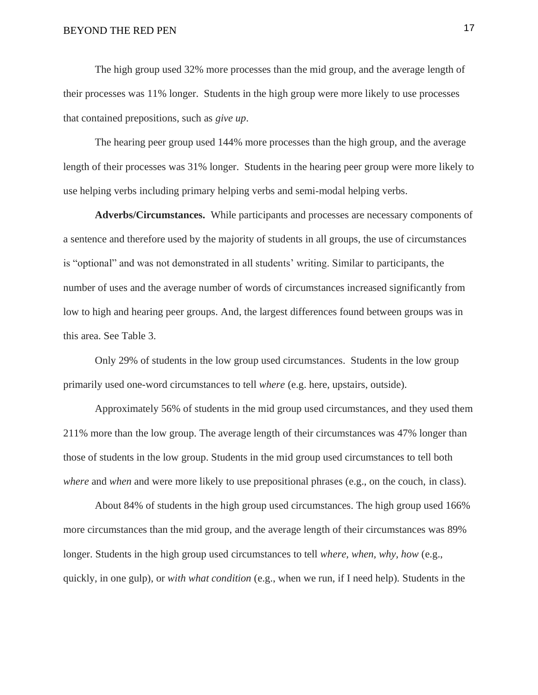The high group used 32% more processes than the mid group, and the average length of their processes was 11% longer. Students in the high group were more likely to use processes that contained prepositions, such as *give up*.

The hearing peer group used 144% more processes than the high group, and the average length of their processes was 31% longer. Students in the hearing peer group were more likely to use helping verbs including primary helping verbs and semi-modal helping verbs.

**Adverbs/Circumstances.** While participants and processes are necessary components of a sentence and therefore used by the majority of students in all groups, the use of circumstances is "optional" and was not demonstrated in all students' writing. Similar to participants, the number of uses and the average number of words of circumstances increased significantly from low to high and hearing peer groups. And, the largest differences found between groups was in this area. See Table 3.

Only 29% of students in the low group used circumstances. Students in the low group primarily used one-word circumstances to tell *where* (e.g. here, upstairs, outside).

Approximately 56% of students in the mid group used circumstances, and they used them 211% more than the low group. The average length of their circumstances was 47% longer than those of students in the low group. Students in the mid group used circumstances to tell both *where* and *when* and were more likely to use prepositional phrases (e.g., on the couch, in class).

About 84% of students in the high group used circumstances. The high group used 166% more circumstances than the mid group, and the average length of their circumstances was 89% longer. Students in the high group used circumstances to tell *where, when, why, how* (e.g., quickly, in one gulp), or *with what condition* (e.g., when we run, if I need help)*.* Students in the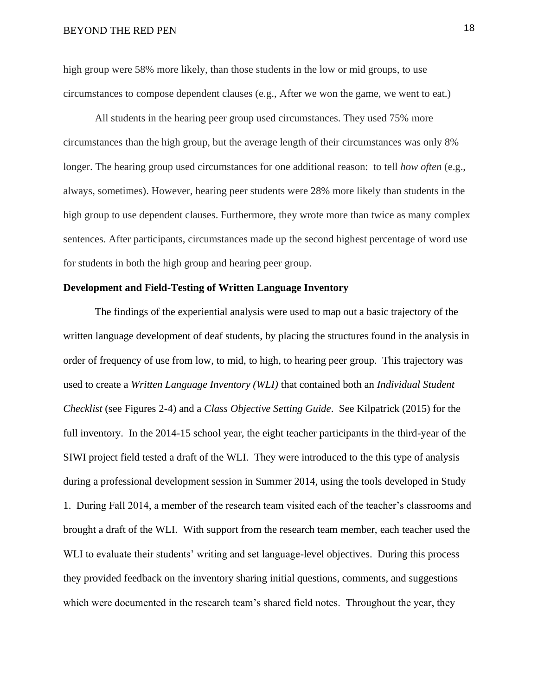high group were 58% more likely, than those students in the low or mid groups, to use circumstances to compose dependent clauses (e.g., After we won the game, we went to eat.)

All students in the hearing peer group used circumstances. They used 75% more circumstances than the high group, but the average length of their circumstances was only 8% longer. The hearing group used circumstances for one additional reason: to tell *how often* (e.g., always, sometimes). However, hearing peer students were 28% more likely than students in the high group to use dependent clauses. Furthermore, they wrote more than twice as many complex sentences. After participants, circumstances made up the second highest percentage of word use for students in both the high group and hearing peer group.

### **Development and Field-Testing of Written Language Inventory**

The findings of the experiential analysis were used to map out a basic trajectory of the written language development of deaf students, by placing the structures found in the analysis in order of frequency of use from low, to mid, to high, to hearing peer group. This trajectory was used to create a *Written Language Inventory (WLI)* that contained both an *Individual Student Checklist* (see Figures 2-4) and a *Class Objective Setting Guide*. See Kilpatrick (2015) for the full inventory. In the 2014-15 school year, the eight teacher participants in the third-year of the SIWI project field tested a draft of the WLI. They were introduced to the this type of analysis during a professional development session in Summer 2014, using the tools developed in Study 1. During Fall 2014, a member of the research team visited each of the teacher's classrooms and brought a draft of the WLI. With support from the research team member, each teacher used the WLI to evaluate their students' writing and set language-level objectives. During this process they provided feedback on the inventory sharing initial questions, comments, and suggestions which were documented in the research team's shared field notes. Throughout the year, they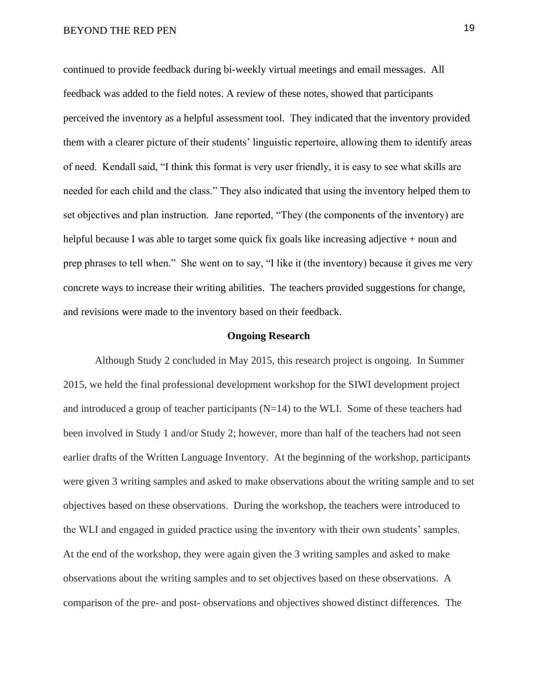continued to provide feedback during bi-weekly virtual meetings and email messages. All feedback was added to the field notes. A review of these notes, showed that participants perceived the inventory as a helpful assessment tool. They indicated that the inventory provided them with a clearer picture of their students' linguistic repertoire, allowing them to identify areas of need. Kendall said, "I think this format is very user friendly, it is easy to see what skills are needed for each child and the class." They also indicated that using the inventory helped them to set objectives and plan instruction. Jane reported, "They (the components of the inventory) are helpful because I was able to target some quick fix goals like increasing adjective + noun and prep phrases to tell when." She went on to say, "I like it (the inventory) because it gives me very concrete ways to increase their writing abilities. The teachers provided suggestions for change, and revisions were made to the inventory based on their feedback.

#### **Ongoing Research**

Although Study 2 concluded in May 2015, this research project is ongoing. In Summer 2015, we held the final professional development workshop for the SIWI development project and introduced a group of teacher participants  $(N=14)$  to the WLI. Some of these teachers had been involved in Study 1 and/or Study 2; however, more than half of the teachers had not seen earlier drafts of the Written Language Inventory. At the beginning of the workshop, participants were given 3 writing samples and asked to make observations about the writing sample and to set objectives based on these observations. During the workshop, the teachers were introduced to the WLI and engaged in guided practice using the inventory with their own students' samples. At the end of the workshop, they were again given the 3 writing samples and asked to make observations about the writing samples and to set objectives based on these observations. A comparison of the pre- and post- observations and objectives showed distinct differences. The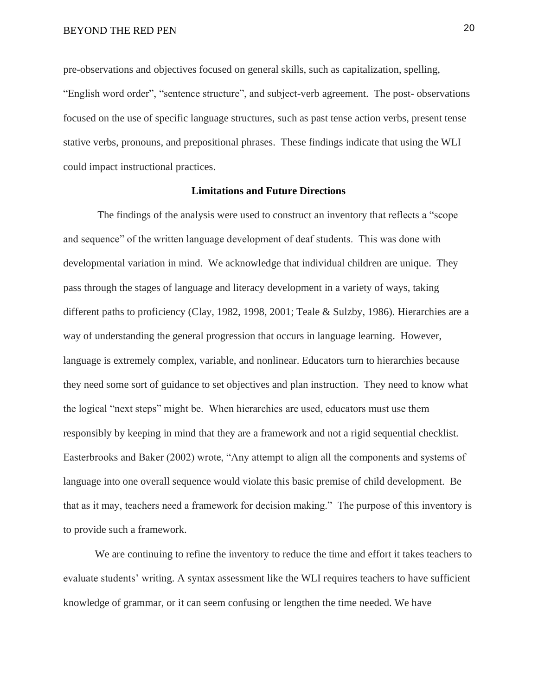pre-observations and objectives focused on general skills, such as capitalization, spelling, "English word order", "sentence structure", and subject-verb agreement. The post- observations focused on the use of specific language structures, such as past tense action verbs, present tense stative verbs, pronouns, and prepositional phrases. These findings indicate that using the WLI could impact instructional practices.

#### **Limitations and Future Directions**

The findings of the analysis were used to construct an inventory that reflects a "scope and sequence" of the written language development of deaf students. This was done with developmental variation in mind. We acknowledge that individual children are unique. They pass through the stages of language and literacy development in a variety of ways, taking different paths to proficiency (Clay, 1982, 1998, 2001; Teale & Sulzby, 1986). Hierarchies are a way of understanding the general progression that occurs in language learning. However, language is extremely complex, variable, and nonlinear. Educators turn to hierarchies because they need some sort of guidance to set objectives and plan instruction. They need to know what the logical "next steps" might be. When hierarchies are used, educators must use them responsibly by keeping in mind that they are a framework and not a rigid sequential checklist. Easterbrooks and Baker (2002) wrote, "Any attempt to align all the components and systems of language into one overall sequence would violate this basic premise of child development. Be that as it may, teachers need a framework for decision making." The purpose of this inventory is to provide such a framework.

We are continuing to refine the inventory to reduce the time and effort it takes teachers to evaluate students' writing. A syntax assessment like the WLI requires teachers to have sufficient knowledge of grammar, or it can seem confusing or lengthen the time needed. We have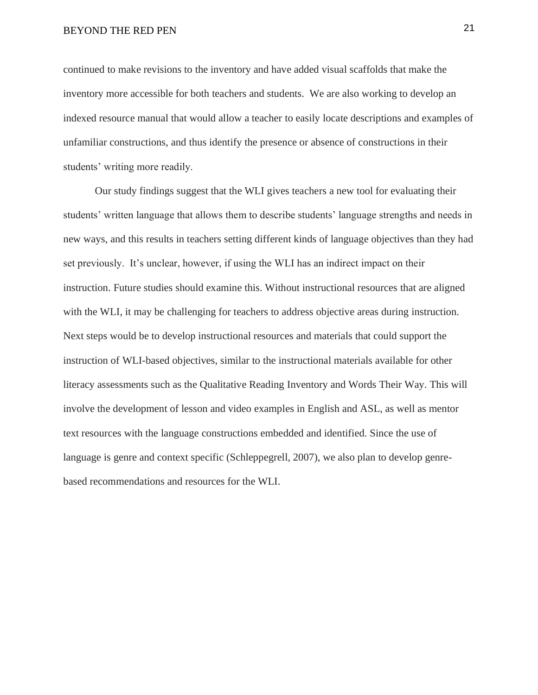continued to make revisions to the inventory and have added visual scaffolds that make the inventory more accessible for both teachers and students. We are also working to develop an indexed resource manual that would allow a teacher to easily locate descriptions and examples of unfamiliar constructions, and thus identify the presence or absence of constructions in their students' writing more readily.

Our study findings suggest that the WLI gives teachers a new tool for evaluating their students' written language that allows them to describe students' language strengths and needs in new ways, and this results in teachers setting different kinds of language objectives than they had set previously. It's unclear, however, if using the WLI has an indirect impact on their instruction. Future studies should examine this. Without instructional resources that are aligned with the WLI, it may be challenging for teachers to address objective areas during instruction. Next steps would be to develop instructional resources and materials that could support the instruction of WLI-based objectives, similar to the instructional materials available for other literacy assessments such as the Qualitative Reading Inventory and Words Their Way. This will involve the development of lesson and video examples in English and ASL, as well as mentor text resources with the language constructions embedded and identified. Since the use of language is genre and context specific (Schleppegrell, 2007), we also plan to develop genrebased recommendations and resources for the WLI.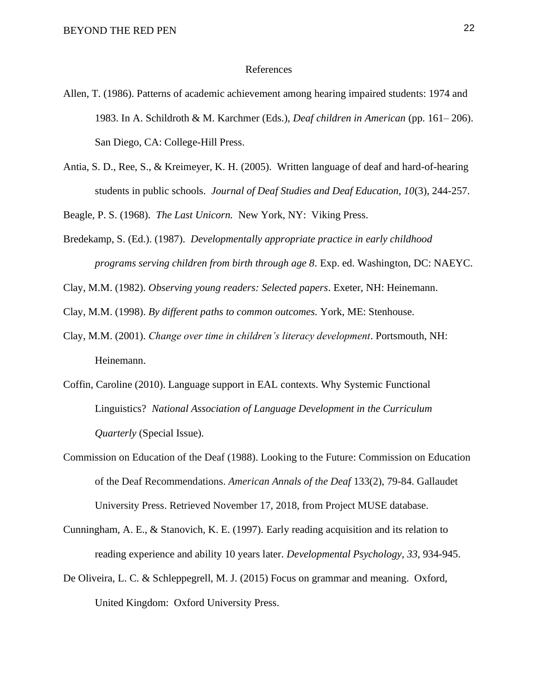#### References

- Allen, T. (1986). Patterns of academic achievement among hearing impaired students: 1974 and 1983. In A. Schildroth & M. Karchmer (Eds.), *Deaf children in American* (pp. 161– 206). San Diego, CA: College-Hill Press.
- Antia, S. D., Ree, S., & Kreimeyer, K. H. (2005). Written language of deaf and hard-of-hearing students in public schools. *Journal of Deaf Studies and Deaf Education, 10*(3), 244-257.

Beagle, P. S. (1968). *The Last Unicorn.* New York, NY: Viking Press.

- Bredekamp, S. (Ed.). (1987). *Developmentally appropriate practice in early childhood programs serving children from birth through age 8*. Exp. ed. Washington, DC: NAEYC.
- Clay, M.M. (1982). *Observing young readers: Selected papers*. Exeter, NH: Heinemann.
- Clay, M.M. (1998). *By different paths to common outcomes.* York, ME: Stenhouse.
- Clay, M.M. (2001). *Change over time in children's literacy development*. Portsmouth, NH: Heinemann.
- Coffin, Caroline (2010). Language support in EAL contexts. Why Systemic Functional Linguistics? *National Association of Language Development in the Curriculum Quarterly* (Special Issue).
- Commission on Education of the Deaf (1988). Looking to the Future: Commission on Education of the Deaf Recommendations. *American Annals of the Deaf* 133(2), 79-84. Gallaudet University Press. Retrieved November 17, 2018, from Project MUSE database.
- Cunningham, A. E., & Stanovich, K. E. (1997). Early reading acquisition and its relation to reading experience and ability 10 years later. *Developmental Psychology*, *33*, 934-945.
- De Oliveira, L. C. & Schleppegrell, M. J. (2015) Focus on grammar and meaning. Oxford, United Kingdom: Oxford University Press.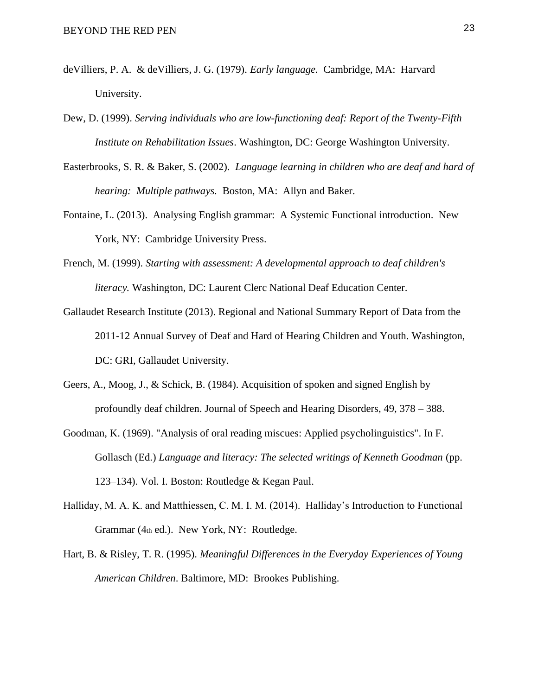- deVilliers, P. A. & deVilliers, J. G. (1979). *Early language.* Cambridge, MA: Harvard University.
- Dew, D. (1999). *Serving individuals who are low-functioning deaf: Report of the Twenty-Fifth Institute on Rehabilitation Issues*. Washington, DC: George Washington University.
- Easterbrooks, S. R. & Baker, S. (2002). *Language learning in children who are deaf and hard of hearing: Multiple pathways.* Boston, MA: Allyn and Baker.
- Fontaine, L. (2013). Analysing English grammar: A Systemic Functional introduction. New York, NY: Cambridge University Press.
- French, M. (1999). *Starting with assessment: A developmental approach to deaf children's literacy.* Washington, DC: Laurent Clerc National Deaf Education Center.
- Gallaudet Research Institute (2013). Regional and National Summary Report of Data from the 2011-12 Annual Survey of Deaf and Hard of Hearing Children and Youth. Washington, DC: GRI, Gallaudet University.
- Geers, A., Moog, J., & Schick, B. (1984). Acquisition of spoken and signed English by profoundly deaf children. Journal of Speech and Hearing Disorders, 49, 378 – 388.
- Goodman, K. (1969). "Analysis of oral reading miscues: Applied psycholinguistics". In F. Gollasch (Ed.) *Language and literacy: The selected writings of Kenneth Goodman* (pp. 123–134). Vol. I. Boston: Routledge & Kegan Paul.
- Halliday, M. A. K. and Matthiessen, C. M. I. M. (2014). Halliday's Introduction to Functional Grammar (4th ed.). New York, NY: Routledge.
- Hart, B. & Risley, T. R. (1995). *Meaningful Differences in the Everyday Experiences of Young American Children*. Baltimore, MD: Brookes Publishing.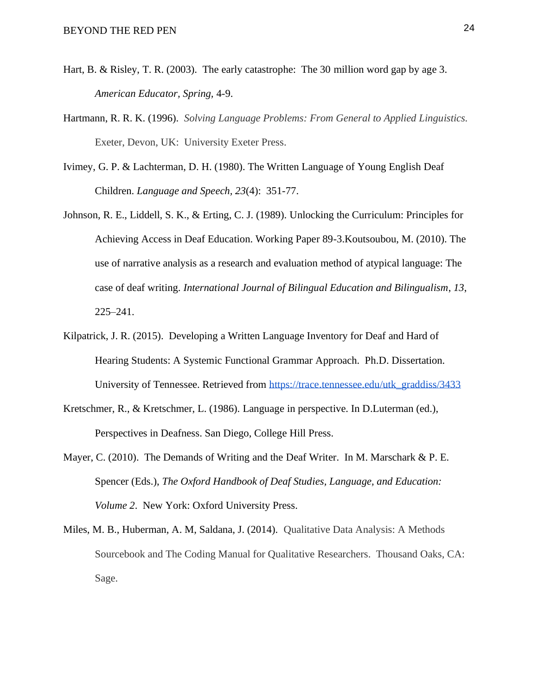- Hart, B. & Risley, T. R. (2003). The early catastrophe: The 30 million word gap by age 3. *American Educator, Spring,* 4-9.
- Hartmann, R. R. K. (1996). *Solving Language Problems: From General to Applied Linguistics.*  Exeter, Devon, UK: University Exeter Press.
- Ivimey, G. P. & Lachterman, D. H. (1980). The Written Language of Young English Deaf Children. *Language and Speech, 23*(4): 351-77.
- Johnson, R. E., Liddell, S. K., & Erting, C. J. (1989). Unlocking the Curriculum: Principles for Achieving Access in Deaf Education. Working Paper 89-3.Koutsoubou, M. (2010). The use of narrative analysis as a research and evaluation method of atypical language: The case of deaf writing. *International Journal of Bilingual Education and Bilingualism*, *13*, 225–241.
- Kilpatrick, J. R. (2015). Developing a Written Language Inventory for Deaf and Hard of Hearing Students: A Systemic Functional Grammar Approach. Ph.D. Dissertation. University of Tennessee. Retrieved from [https://trace.tennessee.edu/utk\\_graddiss/3433](https://trace.tennessee.edu/utk_graddiss/3433)
- Kretschmer, R., & Kretschmer, L. (1986). Language in perspective. In D.Luterman (ed.), Perspectives in Deafness. San Diego, College Hill Press.
- Mayer, C. (2010). The Demands of Writing and the Deaf Writer. In M. Marschark & P. E. Spencer (Eds.), *The Oxford Handbook of Deaf Studies, Language, and Education: Volume 2*. New York: Oxford University Press.
- Miles, M. B., Huberman, A. M, Saldana, J. (2014). Qualitative Data Analysis: A Methods Sourcebook and The Coding Manual for Qualitative Researchers. Thousand Oaks, CA: Sage.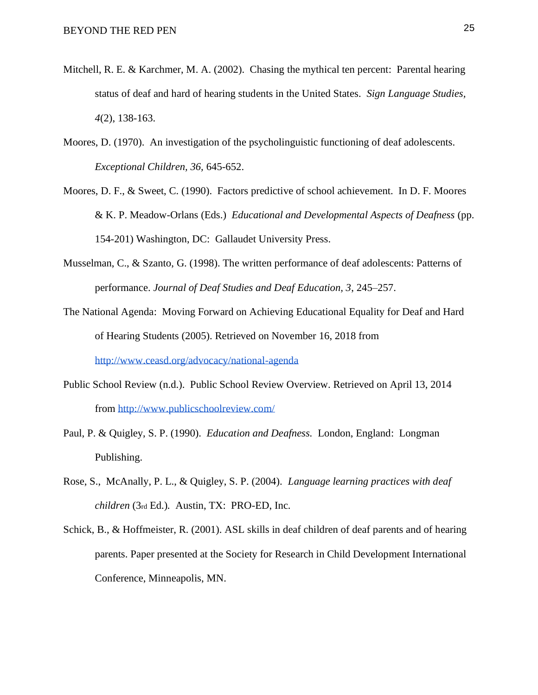- Mitchell, R. E. & Karchmer, M. A. (2002). Chasing the mythical ten percent: Parental hearing status of deaf and hard of hearing students in the United States. *Sign Language Studies, 4*(2), 138-163.
- Moores, D. (1970). An investigation of the psycholinguistic functioning of deaf adolescents. *Exceptional Children, 36,* 645-652.
- Moores, D. F., & Sweet, C. (1990). Factors predictive of school achievement. In D. F. Moores & K. P. Meadow-Orlans (Eds.) *Educational and Developmental Aspects of Deafness* (pp. 154-201) Washington, DC: Gallaudet University Press.
- Musselman, C., & Szanto, G. (1998). The written performance of deaf adolescents: Patterns of performance. *Journal of Deaf Studies and Deaf Education, 3*, 245–257.
- The National Agenda: Moving Forward on Achieving Educational Equality for Deaf and Hard of Hearing Students (2005). Retrieved on November 16, 2018 from <http://www.ceasd.org/advocacy/national-agenda>
- Public School Review (n.d.). Public School Review Overview. Retrieved on April 13, 2014 from <http://www.publicschoolreview.com/>
- Paul, P. & Quigley, S. P. (1990). *Education and Deafness.* London, England: Longman Publishing.
- Rose, S., McAnally, P. L., & Quigley, S. P. (2004). *Language learning practices with deaf children* (3rd Ed.)*.* Austin, TX: PRO-ED, Inc.
- Schick, B., & Hoffmeister, R. (2001). ASL skills in deaf children of deaf parents and of hearing parents. Paper presented at the Society for Research in Child Development International Conference, Minneapolis, MN.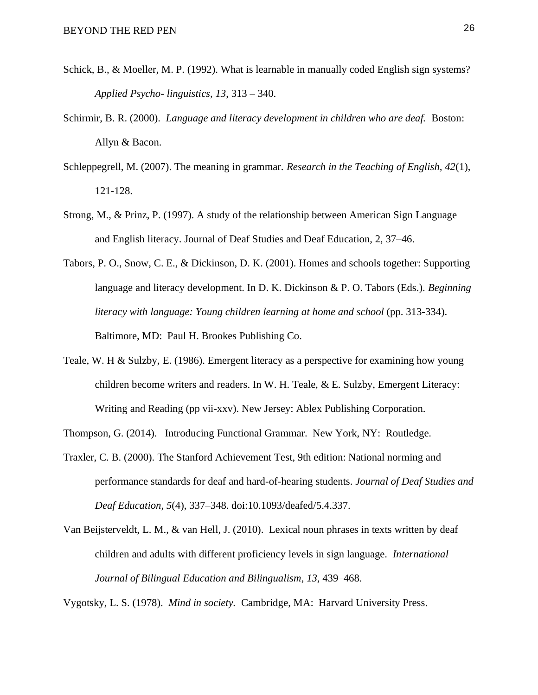- Schick, B., & Moeller, M. P. (1992). What is learnable in manually coded English sign systems? *Applied Psycho- linguistics, 13*, 313 – 340.
- Schirmir, B. R. (2000). *Language and literacy development in children who are deaf.* Boston: Allyn & Bacon.
- Schleppegrell, M. (2007). The meaning in grammar. *Research in the Teaching of English, 42*(1), 121-128.
- Strong, M., & Prinz, P. (1997). A study of the relationship between American Sign Language and English literacy. Journal of Deaf Studies and Deaf Education, 2, 37–46.
- Tabors, P. O., Snow, C. E., & Dickinson, D. K. (2001). Homes and schools together: Supporting language and literacy development. In D. K. Dickinson & P. O. Tabors (Eds.). *Beginning literacy with language: Young children learning at home and school* (pp. 313-334). Baltimore, MD: Paul H. Brookes Publishing Co.
- Teale, W. H & Sulzby, E. (1986). Emergent literacy as a perspective for examining how young children become writers and readers. In W. H. Teale,  $\&$  E. Sulzby, Emergent Literacy: Writing and Reading (pp vii-xxv). New Jersey: Ablex Publishing Corporation.
- Thompson, G. (2014). Introducing Functional Grammar. New York, NY: Routledge.
- Traxler, C. B. (2000). The Stanford Achievement Test, 9th edition: National norming and performance standards for deaf and hard-of-hearing students. *Journal of Deaf Studies and Deaf Education*, *5*(4), 337–348. doi:10.1093/deafed/5.4.337.
- Van Beijsterveldt, L. M., & van Hell, J. (2010). Lexical noun phrases in texts written by deaf children and adults with different proficiency levels in sign language. *International Journal of Bilingual Education and Bilingualism*, *13*, 439–468.

Vygotsky, L. S. (1978). *Mind in society.* Cambridge, MA: Harvard University Press.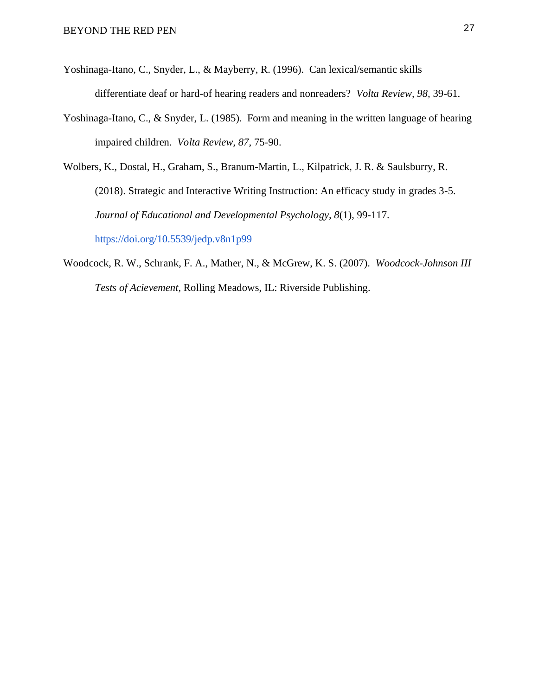- Yoshinaga-Itano, C., Snyder, L., & Mayberry, R. (1996). Can lexical/semantic skills differentiate deaf or hard-of hearing readers and nonreaders? *Volta Review, 98,* 39-61.
- Yoshinaga-Itano, C., & Snyder, L. (1985). Form and meaning in the written language of hearing impaired children. *Volta Review, 87,* 75-90.
- Wolbers, K., Dostal, H., Graham, S., Branum-Martin, L., Kilpatrick, J. R. & Saulsburry, R. (2018). Strategic and Interactive Writing Instruction: An efficacy study in grades 3-5. *Journal of Educational and Developmental Psychology, 8*(1), 99-117[.](https://doi.org/10.5539/jedp.v8n1p99) <https://doi.org/10.5539/jedp.v8n1p99>
- Woodcock, R. W., Schrank, F. A., Mather, N., & McGrew, K. S. (2007). *Woodcock-Johnson III Tests of Acievement*, Rolling Meadows, IL: Riverside Publishing.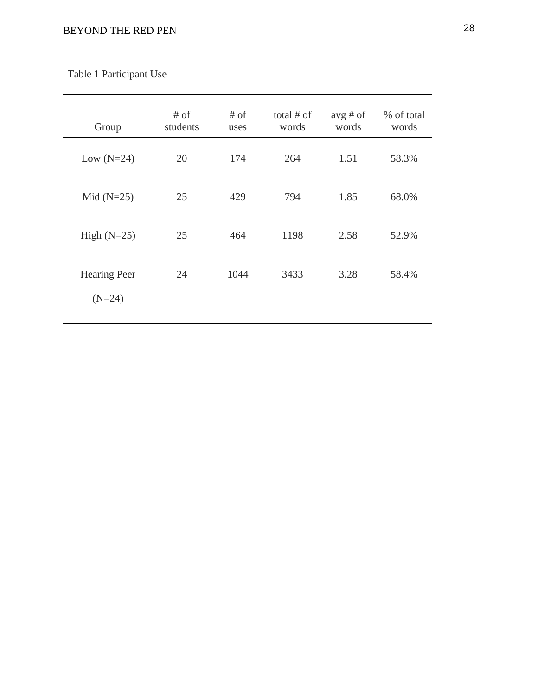| Group                           | # of<br>students | # of<br>uses | total $#$ of<br>words | $avg \# of$<br>words | % of total<br>words |
|---------------------------------|------------------|--------------|-----------------------|----------------------|---------------------|
| Low $(N=24)$                    | 20               | 174          | 264                   | 1.51                 | 58.3%               |
| Mid $(N=25)$                    | 25               | 429          | 794                   | 1.85                 | 68.0%               |
| High $(N=25)$                   | 25               | 464          | 1198                  | 2.58                 | 52.9%               |
| <b>Hearing Peer</b><br>$(N=24)$ | 24               | 1044         | 3433                  | 3.28                 | 58.4%               |

Table 1 Participant Use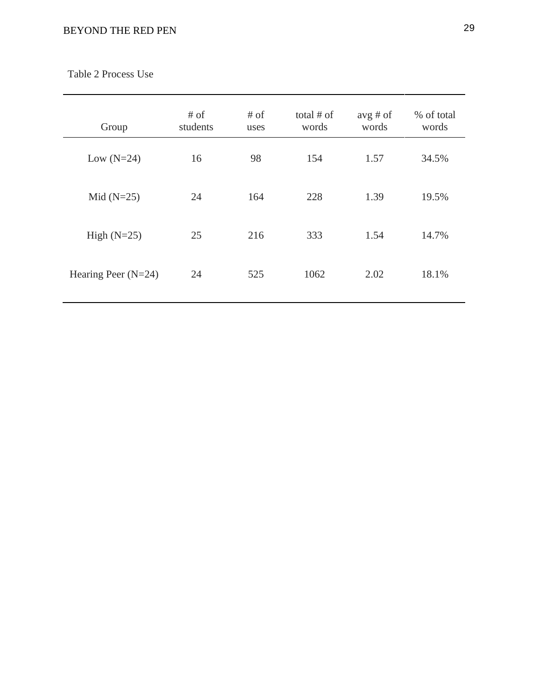| Group                 | # of<br>students | # of<br>uses | total $#$ of<br>words | $avg \# of$<br>words | % of total<br>words |
|-----------------------|------------------|--------------|-----------------------|----------------------|---------------------|
| Low $(N=24)$          | 16               | 98           | 154                   | 1.57                 | 34.5%               |
| Mid $(N=25)$          | 24               | 164          | 228                   | 1.39                 | 19.5%               |
| High $(N=25)$         | 25               | 216          | 333                   | 1.54                 | 14.7%               |
| Hearing Peer $(N=24)$ | 24               | 525          | 1062                  | 2.02                 | 18.1%               |

Table 2 Process Use

-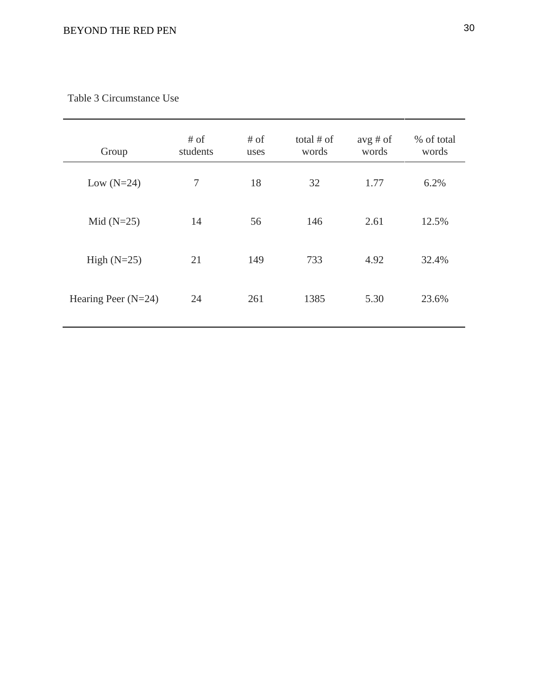## Table 3 Circumstance Use

| Group                 | # of<br>students | # of<br>uses | total $#$ of<br>words | $avg \# of$<br>words | % of total<br>words |
|-----------------------|------------------|--------------|-----------------------|----------------------|---------------------|
| Low $(N=24)$          | 7                | 18           | 32                    | 1.77                 | 6.2%                |
| Mid $(N=25)$          | 14               | 56           | 146                   | 2.61                 | 12.5%               |
| High $(N=25)$         | 21               | 149          | 733                   | 4.92                 | 32.4%               |
| Hearing Peer $(N=24)$ | 24               | 261          | 1385                  | 5.30                 | 23.6%               |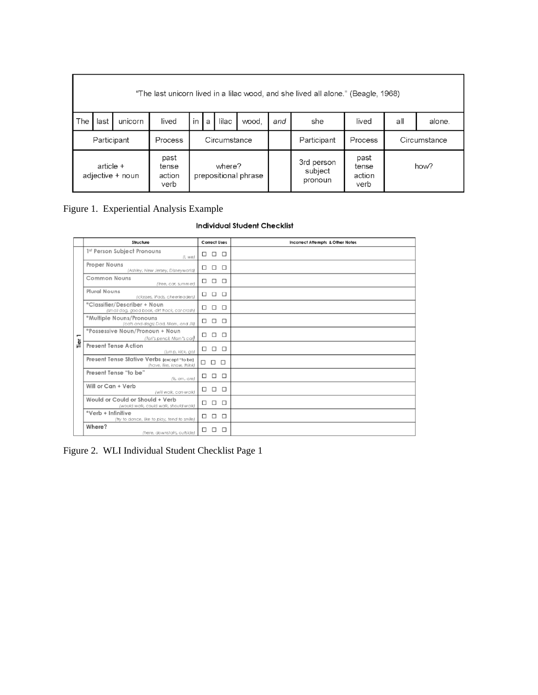|                                        | "The last unicorn lived in a lilac wood, and she lived all alone." (Beagle, 1968) |         |                         |    |                     |             |                      |              |                                  |                                 |               |      |
|----------------------------------------|-----------------------------------------------------------------------------------|---------|-------------------------|----|---------------------|-------------|----------------------|--------------|----------------------------------|---------------------------------|---------------|------|
| The                                    | last                                                                              | unicorn | lived                   | in | lilac<br>wood.<br>a |             |                      | and          | she                              | lived                           | all<br>alone. |      |
| Participant<br>Process<br>Circumstance |                                                                                   |         |                         |    |                     | Participant | Process              | Circumstance |                                  |                                 |               |      |
| past<br>article +<br>adjective + noun  |                                                                                   |         | tense<br>action<br>verb |    |                     | where?      | prepositional phrase |              | 3rd person<br>subject<br>pronoun | past<br>tense<br>action<br>verb |               | how? |

## Figure 1. Experiential Analysis Example

#### **Individual Student Checklist**

|                          | Structure                                                                      |    | <b>Correct Uses</b>  |        | <b>Incorrect Attempts &amp; Other Notes</b> |
|--------------------------|--------------------------------------------------------------------------------|----|----------------------|--------|---------------------------------------------|
|                          | 1st Person Subject Pronouns<br>(l, we)                                         |    |                      |        |                                             |
|                          | Proper Nouns<br>(Ashley, New Jersey, Disneyworld)                              | □  | $\Box$ $\Box$        |        |                                             |
|                          | Common Nouns<br>(tree, car, summer)                                            |    | $\Box$ $\Box$ $\Box$ |        |                                             |
|                          | <b>Plural Nouns</b><br>(classes, iPads, cheerleaders)                          |    | $\Box$ $\Box$ $\Box$ |        |                                             |
|                          | *Classifier/Describer + Noun<br>(sm all dog, good book, dirt track, car crash) |    | $\Box$ $\Box$ $\Box$ |        |                                             |
|                          | *Multiple Nouns/Pronouns<br>(cats and dogs; Dad, Mom, and Jill)                |    | $\Box$ $\Box$ $\Box$ |        |                                             |
| $\overline{\phantom{0}}$ | *Possessive Noun/Pronoun + Noun<br>(Tori's pencil, Mom's car)                  |    |                      |        |                                             |
| Tier                     | <b>Present Tense Action</b><br>(jump, kick, go)                                | П. | $\Box$               | $\Box$ |                                             |
|                          | Present Tense Stative Verbs (except "to be)<br>(have, like, know, think)       |    | $\Box$ $\Box$ $\Box$ |        |                                             |
|                          | Present Tense "to be"<br>(is, am, are)                                         | □  | $\Box$               | $\Box$ |                                             |
|                          | Will or Can + Verb<br>(will walk, can walk)                                    |    | $\Box$ $\Box$ $\Box$ |        |                                             |
|                          | Would or Could or Should + Verb<br>(would walk, could walk, should walk)       |    | $\Box$ $\Box$ $\Box$ |        |                                             |
|                          | *Verb + Infinitive<br>(try to dance, like to play, tend to smile)              |    | <b>000</b>           |        |                                             |
|                          | Where?<br>(here, downstairs, outside)                                          | □  | □                    | $\Box$ |                                             |

Figure 2. WLI Individual Student Checklist Page 1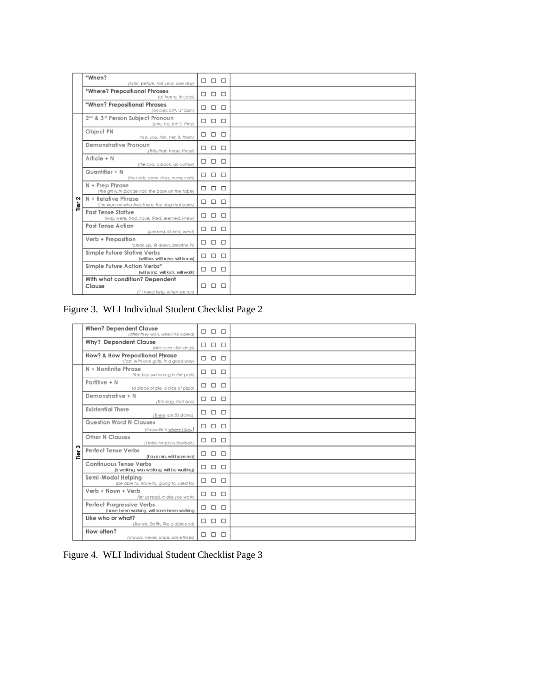|           | *When?<br>(later, before, last year, one day)                                       | $\Box$ $\Box$ $\Box$ |  |
|-----------|-------------------------------------------------------------------------------------|----------------------|--|
|           | *Where? Prepositional Phrases<br>(at home, in class)                                | $\Box$ $\Box$ $\Box$ |  |
|           | *When? Prepositional Phrases<br>(on $Dec~25m$ , at $5pm$ )                          | $\Box$ $\Box$ $\Box$ |  |
|           | 2 <sup>nd</sup> & 3 <sup>rd</sup> Person Subject Pronoun<br>(you, he, she it, they) | $\Box$ $\Box$ $\Box$ |  |
|           | Object PN<br>(me, you, him, her, it, them)                                          |                      |  |
|           | Demonstrative Pronoun<br>(this, that, these, those)                                 |                      |  |
|           | Article + N<br>(the zoo, a book, an author)                                         |                      |  |
|           | Quantifier + N<br>(four kids, some days, many cats)                                 | $\Box$ $\Box$ $\Box$ |  |
|           | N + Prep Phrase<br>(the girl with blonde hair, the book on the table)               |                      |  |
| 2<br>Tier | N + Relative Phrase<br>(the woman who lives there, the dog that barks)              |                      |  |
|           | <b>Past Tense Stative</b><br>(was, were, had, have, liked, seemed, knew)            | $\Box$ $\Box$ $\Box$ |  |
|           | <b>Past Tense Action</b><br>(jumped, kicked, went)                                  | $\Box$ $\Box$ $\Box$ |  |
|           | Verb + Preposition<br>(clean up, sit down, breathe in)                              | $\Box$ $\Box$ $\Box$ |  |
|           | Simple Future Stative Verbs<br>(will be, will have, will know)                      | $\Box$ $\Box$ $\Box$ |  |
|           | Simple Future Action Verbs*<br>(will jump, will kick, will walk)                    | $\Box$ $\Box$ $\Box$ |  |
|           | With what condition? Dependent<br>Clause<br>(if I need help, when we run)           |                      |  |

Figure 3. WLI Individual Student Checklist Page 2

|           | <b>When? Dependent Clause</b><br>(after they won, when he called)                  | $\Box$ | $\Box$ $\Box$        |        |  |
|-----------|------------------------------------------------------------------------------------|--------|----------------------|--------|--|
|           | <b>Why? Dependent Clause</b><br>(because I like dogs)                              |        | $\Box$ $\Box$ $\Box$ |        |  |
|           | <b>How? &amp; How Prepositional Phrase</b><br>(fast, with one gulp, in a good way) | П.     | $\Box$               | $\Box$ |  |
|           | N + Nonfinite Phrase<br>(the boy swimming in the park)                             |        | $\Box$ $\Box$ $\Box$ |        |  |
|           | Partitive + N<br>(a piece of pie, a slice of pizza)                                |        |                      |        |  |
|           | Demonstrative + N<br>(this bag, that box)                                          | □      | $\Box$               | $\Box$ |  |
|           | <b>Existential There</b><br>(There are 50 states).                                 |        | $\Box$ $\Box$ $\Box$ |        |  |
|           | <b>Question Word N Clauses</b><br>(Knoxville is where I live.)                     |        | $\Box$ $\Box$        | $\Box$ |  |
|           | <b>Other N Clauses</b><br>(I think he plays football.)                             | $\Box$ | $\Box$ $\Box$        |        |  |
| ო<br>Tier | <b>Perfect Tense Verbs</b><br>(have run, will have run)                            |        | $\Box$ $\Box$ $\Box$ |        |  |
|           | Continuous Tense Verbs<br>(is walking, was walking, will be walking)               |        | $\Box$ $\Box$ $\Box$ |        |  |
|           | Semi-Modal Helpina<br>(be able to, have to, going to, used to)                     | $\Box$ | $\Box$ $\Box$        |        |  |
|           | Verb + Noun + Verb<br>(let us read, make you work)                                 |        | $\Box$ $\Box$ $\Box$ |        |  |
|           | Perfect Progressive Verbs<br>(have been walking, will have been walking            |        | $\Box$ $\Box$        | $\Box$ |  |
|           | Like who or what?<br>(like Ms. Smith, like a diamond)                              | $\Box$ | $\Box$               | $\Box$ |  |
|           | How often?<br>(always, never, once, sometimes)                                     | □      | $\Box$               | $\Box$ |  |

Figure 4. WLI Individual Student Checklist Page 3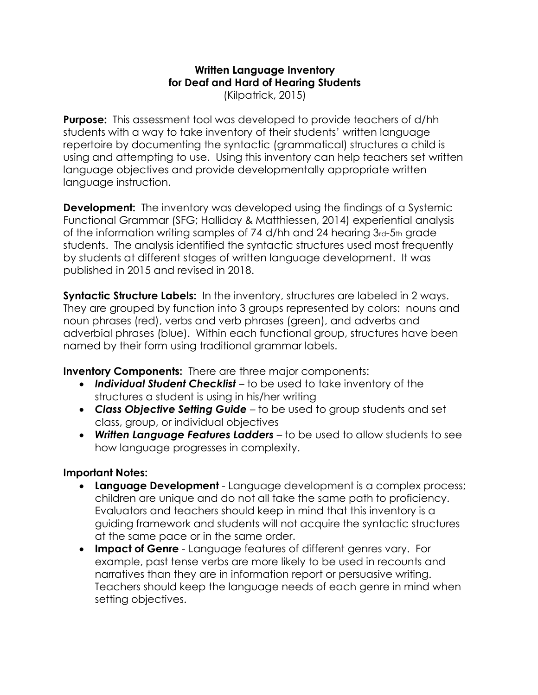# **Written Language Inventory for Deaf and Hard of Hearing Students**

(Kilpatrick, 2015)

**Purpose:**This assessment tool was developed to provide teachers of d/hh students with a way to take inventory of their students' written language repertoire by documenting the syntactic (grammatical) structures a child is using and attempting to use. Using this inventory can help teachers set written language objectives and provide developmentally appropriate written language instruction.

**Development:** The inventory was developed using the findings of a Systemic Functional Grammar (SFG; Halliday & Matthiessen, 2014) experiential analysis of the information writing samples of 74 d/hh and 24 hearing 3rd-5th grade students. The analysis identified the syntactic structures used most frequently by students at different stages of written language development. It was published in 2015 and revised in 2018.

**Syntactic Structure Labels:** In the inventory, structures are labeled in 2 ways. They are grouped by function into 3 groups represented by colors: nouns and noun phrases (red), verbs and verb phrases (green), and adverbs and adverbial phrases (blue). Within each functional group, structures have been named by their form using traditional grammar labels.

**Inventory Components:**There are three major components:

- *Individual Student Checklist* to be used to take inventory of the structures a student is using in his/her writing
- *Class Objective Setting Guide* to be used to group students and set class, group, or individual objectives
- *Written Language Features Ladders* to be used to allow students to see how language progresses in complexity.

## **Important Notes:**

- **Language Development** Language development is a complex process; children are unique and do not all take the same path to proficiency. Evaluators and teachers should keep in mind that this inventory is a guiding framework and students will not acquire the syntactic structures at the same pace or in the same order.
- **Impact of Genre** Language features of different genres vary. For example, past tense verbs are more likely to be used in recounts and narratives than they are in information report or persuasive writing. Teachers should keep the language needs of each genre in mind when setting objectives.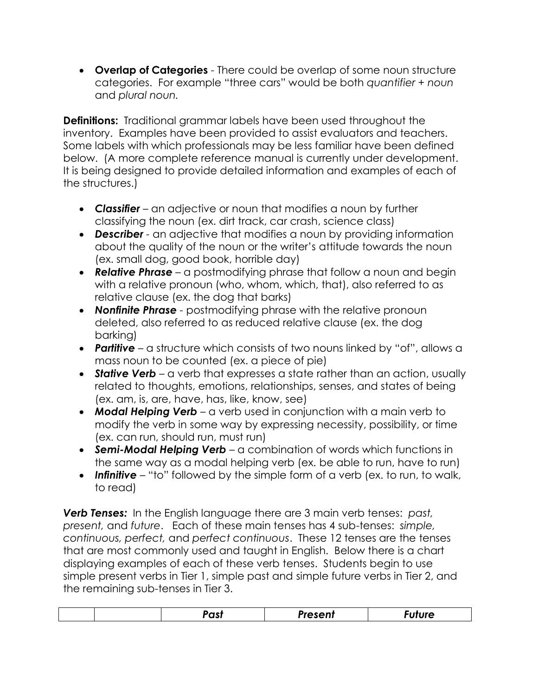• **Overlap of Categories** - There could be overlap of some noun structure categories. For example "three cars" would be both *quantifier + noun*  and *plural noun.* 

**Definitions:** Traditional grammar labels have been used throughout the inventory. Examples have been provided to assist evaluators and teachers. Some labels with which professionals may be less familiar have been defined below. (A more complete reference manual is currently under development. It is being designed to provide detailed information and examples of each of the structures.)

- *Classifier –* an adjective or noun that modifies a noun by further classifying the noun (ex. dirt track, car crash, science class)
- *Describer -* an adjective that modifies a noun by providing information about the quality of the noun or the writer's attitude towards the noun (ex. small dog, good book, horrible day)
- *Relative Phrase –* a postmodifying phrase that follow a noun and begin with a relative pronoun (who, whom, which, that), also referred to as relative clause (ex. the dog that barks)
- *Nonfinite Phrase -* postmodifying phrase with the relative pronoun deleted, also referred to as reduced relative clause (ex. the dog barking)
- *Partitive –* a structure which consists of two nouns linked by "of", allows a mass noun to be counted (ex. a piece of pie)
- **Stative Verb** a verb that expresses a state rather than an action, usually related to thoughts, emotions, relationships, senses, and states of being (ex. am, is, are, have, has, like, know, see)
- **Modal Helping Verb** a verb used in conjunction with a main verb to modify the verb in some way by expressing necessity, possibility, or time (ex. can run, should run, must run)
- **Semi-Modal Helping Verb** a combination of words which functions in the same way as a modal helping verb (ex. be able to run, have to run)
- *Infinitive* "to" followed by the simple form of a verb (ex. to run, to walk, to read)

*Verb Tenses:* In the English language there are 3 main verb tenses: *past, present,* and *future*.Each of these main tenses has 4 sub-tenses: *simple, continuous, perfect,* and *perfect continuous*.These 12 tenses are the tenses that are most commonly used and taught in English.Below there is a chart displaying examples of each of these verb tenses. Students begin to use simple present verbs in Tier 1, simple past and simple future verbs in Tier 2, and the remaining sub-tenses in Tier 3.

|--|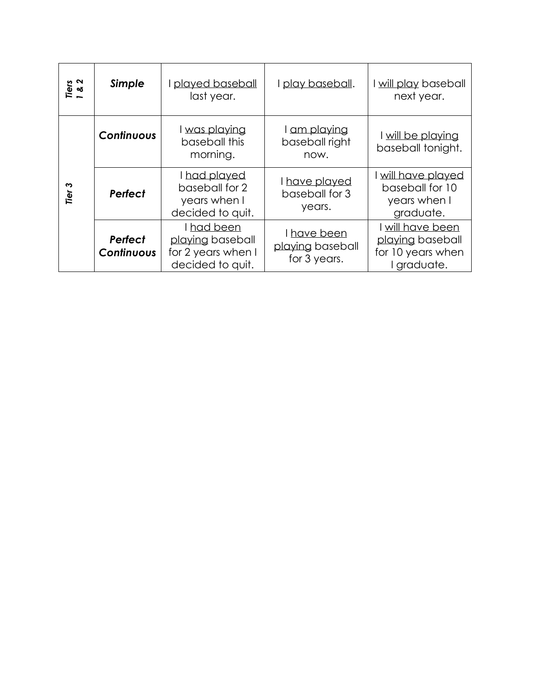| Tiers<br>1 & 2 | Simple                       | played baseball<br>last year.                                            | I play baseball.                                | I will play baseball<br>next year.                                     |  |  |  |
|----------------|------------------------------|--------------------------------------------------------------------------|-------------------------------------------------|------------------------------------------------------------------------|--|--|--|
|                | Continuous                   | I was playing<br>baseball this<br>morning.                               | I am playing<br>baseball right<br>now.          | I will be playing<br>baseball tonight.                                 |  |  |  |
| ∾<br>Tier      | <b>Perfect</b>               | I had played<br>baseball for 2<br>years when I<br>decided to quit.       | I have played<br>baseball for 3<br>years.       | I will have played<br>baseball for 10<br>years when I<br>graduate.     |  |  |  |
|                | <b>Perfect</b><br>Continuous | I had been<br>playing baseball<br>for 2 years when I<br>decided to quit. | I have been<br>playing baseball<br>for 3 years. | will have been<br>playing baseball<br>for 10 years when<br>I graduate. |  |  |  |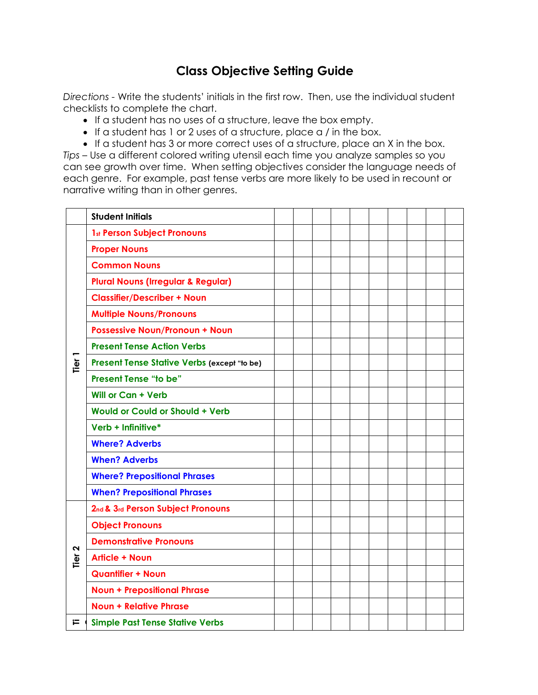# **Class Objective Setting Guide**

*Directions -* Write the students' initials in the first row. Then, use the individual student checklists to complete the chart.

- If a student has no uses of a structure, leave the box empty.
- If a student has 1 or 2 uses of a structure, place a / in the box.
- If a student has 3 or more correct uses of a structure, place an X in the box.

*Tips* – Use a different colored writing utensil each time you analyze samples so you can see growth over time. When setting objectives consider the language needs of each genre. For example, past tense verbs are more likely to be used in recount or narrative writing than in other genres.

|      | <b>Student Initials</b>                       |  |  |  |  |  |
|------|-----------------------------------------------|--|--|--|--|--|
|      | 1st Person Subject Pronouns                   |  |  |  |  |  |
|      | <b>Proper Nouns</b>                           |  |  |  |  |  |
|      | <b>Common Nouns</b>                           |  |  |  |  |  |
|      | <b>Plural Nouns (Irregular &amp; Regular)</b> |  |  |  |  |  |
|      | <b>Classifier/Describer + Noun</b>            |  |  |  |  |  |
|      | <b>Multiple Nouns/Pronouns</b>                |  |  |  |  |  |
|      | <b>Possessive Noun/Pronoun + Noun</b>         |  |  |  |  |  |
|      | <b>Present Tense Action Verbs</b>             |  |  |  |  |  |
| Tier | Present Tense Stative Verbs (except "to be)   |  |  |  |  |  |
|      | <b>Present Tense "to be"</b>                  |  |  |  |  |  |
|      | <b>Will or Can + Verb</b>                     |  |  |  |  |  |
|      | <b>Would or Could or Should + Verb</b>        |  |  |  |  |  |
|      | Verb + Infinitive*                            |  |  |  |  |  |
|      | <b>Where? Adverbs</b>                         |  |  |  |  |  |
|      | <b>When? Adverbs</b>                          |  |  |  |  |  |
|      | <b>Where? Prepositional Phrases</b>           |  |  |  |  |  |
|      | <b>When? Prepositional Phrases</b>            |  |  |  |  |  |
|      | 2nd & 3rd Person Subject Pronouns             |  |  |  |  |  |
|      | <b>Object Pronouns</b>                        |  |  |  |  |  |
| 2    | <b>Demonstrative Pronouns</b>                 |  |  |  |  |  |
| Tier | <b>Article + Noun</b>                         |  |  |  |  |  |
|      | <b>Quantifier + Noun</b>                      |  |  |  |  |  |
|      | <b>Noun + Prepositional Phrase</b>            |  |  |  |  |  |
|      | <b>Noun + Relative Phrase</b>                 |  |  |  |  |  |
| ⊨    | <b>Simple Past Tense Stative Verbs</b>        |  |  |  |  |  |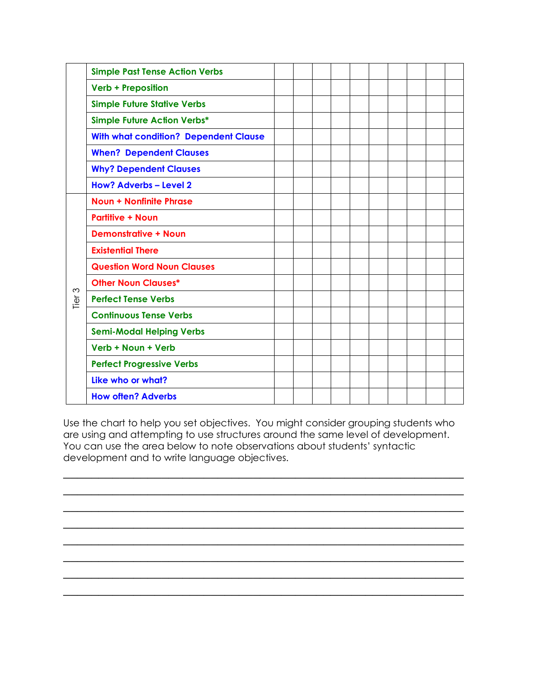|                  | <b>Simple Past Tense Action Verbs</b>        |  |  |  |  |  |
|------------------|----------------------------------------------|--|--|--|--|--|
|                  | <b>Verb + Preposition</b>                    |  |  |  |  |  |
|                  | <b>Simple Future Stative Verbs</b>           |  |  |  |  |  |
|                  | <b>Simple Future Action Verbs*</b>           |  |  |  |  |  |
|                  | <b>With what condition? Dependent Clause</b> |  |  |  |  |  |
|                  | <b>When? Dependent Clauses</b>               |  |  |  |  |  |
|                  | <b>Why? Dependent Clauses</b>                |  |  |  |  |  |
|                  | <b>How? Adverbs - Level 2</b>                |  |  |  |  |  |
|                  | <b>Noun + Nonfinite Phrase</b>               |  |  |  |  |  |
|                  | <b>Partitive + Noun</b>                      |  |  |  |  |  |
|                  | <b>Demonstrative + Noun</b>                  |  |  |  |  |  |
|                  | <b>Existential There</b>                     |  |  |  |  |  |
|                  | <b>Question Word Noun Clauses</b>            |  |  |  |  |  |
|                  | <b>Other Noun Clauses*</b>                   |  |  |  |  |  |
| $\infty$<br>Tier | <b>Perfect Tense Verbs</b>                   |  |  |  |  |  |
|                  | <b>Continuous Tense Verbs</b>                |  |  |  |  |  |
|                  | <b>Semi-Modal Helping Verbs</b>              |  |  |  |  |  |
|                  | Verb + Noun + Verb                           |  |  |  |  |  |
|                  | <b>Perfect Progressive Verbs</b>             |  |  |  |  |  |
|                  | Like who or what?                            |  |  |  |  |  |
|                  | <b>How often? Adverbs</b>                    |  |  |  |  |  |

Use the chart to help you set objectives. You might consider grouping students who are using and attempting to use structures around the same level of development. You can use the area below to note observations about students' syntactic development and to write language objectives.

 $\overline{\phantom{a}}$  , and the contribution of the contribution of the contribution of the contribution of the contribution of the contribution of the contribution of the contribution of the contribution of the contribution of the  $\overline{\phantom{a}}$  , and the contribution of the contribution of the contribution of the contribution of the contribution of the contribution of the contribution of the contribution of the contribution of the contribution of the  $\overline{\phantom{a}}$  , and the contract of the contract of the contract of the contract of the contract of the contract of the contract of the contract of the contract of the contract of the contract of the contract of the contrac  $\overline{\phantom{a}}$  , and the contribution of the contribution of the contribution of the contribution of the contribution of the contribution of the contribution of the contribution of the contribution of the contribution of the  $\overline{\phantom{a}}$  , and the contract of the contract of the contract of the contract of the contract of the contract of the contract of the contract of the contract of the contract of the contract of the contract of the contrac  $\overline{\phantom{a}}$  , and the contract of the contract of the contract of the contract of the contract of the contract of the contract of the contract of the contract of the contract of the contract of the contract of the contrac  $\overline{\phantom{a}}$  , and the contribution of the contribution of the contribution of the contribution of the contribution of the contribution of the contribution of the contribution of the contribution of the contribution of the  $\overline{\phantom{a}}$  , and the contract of the contract of the contract of the contract of the contract of the contract of the contract of the contract of the contract of the contract of the contract of the contract of the contrac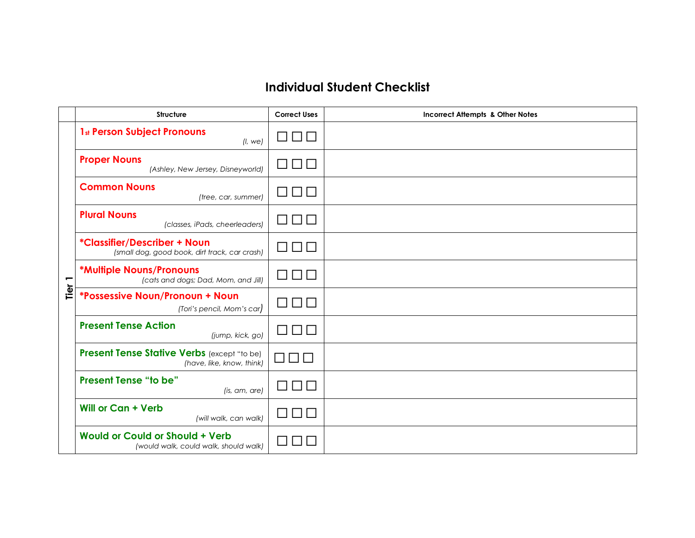# **Individual Student Checklist**

|        | <b>Structure</b>                                                                | <b>Correct Uses</b>               | <b>Incorrect Attempts &amp; Other Notes</b> |
|--------|---------------------------------------------------------------------------------|-----------------------------------|---------------------------------------------|
|        | <b>1st Person Subject Pronouns</b><br>(l, we)                                   | $\Box$                            |                                             |
|        | <b>Proper Nouns</b><br>(Ashley, New Jersey, Disneyworld)                        | $\Box \Box$                       |                                             |
|        | <b>Common Nouns</b><br>(tree, car, summer)                                      | $\Box \Box$                       |                                             |
|        | <b>Plural Nouns</b><br>(classes, iPads, cheerleaders)                           | $\Box$                            |                                             |
|        | *Classifier/Describer + Noun<br>(small dog, good book, dirt track, car crash)   | $\Box$                            |                                             |
| Tier 1 | *Multiple Nouns/Pronouns<br>(cats and dogs; Dad, Mom, and Jill)                 | $\Box \Box$                       |                                             |
|        | <i><b>*Possessive Noun/Pronoun + Noun</b></i><br>(Tori's pencil, Mom's car)     | $\Box$                            |                                             |
|        | <b>Present Tense Action</b><br>(jump, kick, go)                                 |                                   |                                             |
|        | Present Tense Stative Verbs (except "to be)<br>(have, like, know, think)        | П<br>$\mathbf{1}$<br>$\mathbf{1}$ |                                             |
|        | <b>Present Tense "to be"</b><br>(is, am, are)                                   | $\Box$                            |                                             |
|        | <b>Will or Can + Verb</b><br>(will walk, can walk)                              |                                   |                                             |
|        | <b>Would or Could or Should + Verb</b><br>(would walk, could walk, should walk) |                                   |                                             |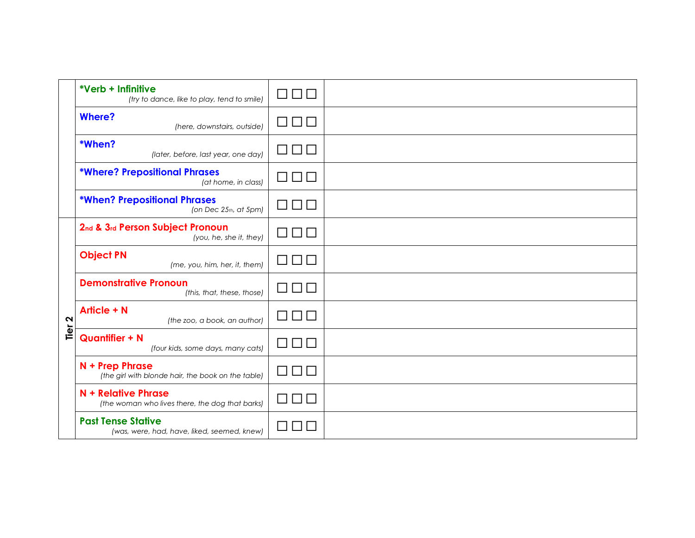|                   | *Verb + Infinitive<br>(try to dance, like to play, tend to smile)        | 8888                          |  |
|-------------------|--------------------------------------------------------------------------|-------------------------------|--|
|                   | <b>Where?</b><br>(here, downstairs, outside)                             | $\Box\ \Box\ \Box$            |  |
|                   | *When?<br>(later, before, last year, one day)                            | $\Box$                        |  |
|                   | <b>*Where? Prepositional Phrases</b><br>(at home, in class)              | $\Box \ \Box \ \Box$          |  |
|                   | <b>*When? Prepositional Phrases</b><br>(on Dec $25th$ , at $5pm$ )       | $\Box \ \Box \ \Box$          |  |
| Tier <sub>2</sub> | 2nd & 3rd Person Subject Pronoun<br>(you, he, she it, they)              | $\Box \ \Box \ \Box$          |  |
|                   | <b>Object PN</b><br>(me, you, him, her, it, them)                        | $\Box \ \Box \ \Box$          |  |
|                   | <b>Demonstrative Pronoun</b><br>(this, that, these, those)               | $\Box \ \Box \ \Box$          |  |
|                   | <b>Article + N</b><br>(the zoo, a book, an author)                       | 8888                          |  |
|                   | <b>Quantifier + N</b><br>(four kids, some days, many cats)               | $\Box$                        |  |
|                   | N + Prep Phrase<br>(the girl with blonde hair, the book on the table)    | $\square$ $\square$ $\square$ |  |
|                   | N + Relative Phrase<br>(the woman who lives there, the dog that barks)   | $\Box \ \Box \ \Box$          |  |
|                   | <b>Past Tense Stative</b><br>(was, were, had, have, liked, seemed, knew) |                               |  |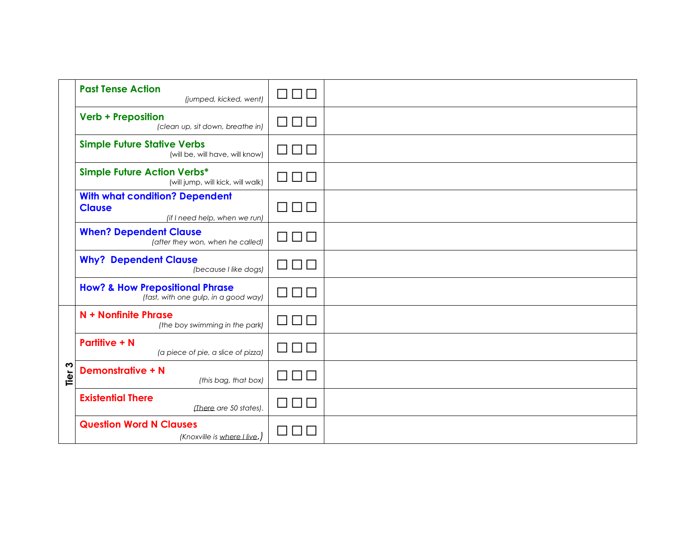|                  | <b>Past Tense Action</b><br>(jumped, kicked, went)                                      | 8888                          |  |
|------------------|-----------------------------------------------------------------------------------------|-------------------------------|--|
|                  | <b>Verb + Preposition</b><br>(clean up, sit down, breathe in)                           | □□□                           |  |
|                  | <b>Simple Future Stative Verbs</b><br>(will be, will have, will know)                   | 000                           |  |
|                  | <b>Simple Future Action Verbs*</b><br>(will jump, will kick, will walk)                 | 8888                          |  |
|                  | <b>With what condition? Dependent</b><br><b>Clause</b><br>(if I need help, when we run) | 8888                          |  |
|                  | <b>When? Dependent Clause</b><br>(after they won, when he called)                       | $\square$ $\square$ $\square$ |  |
|                  | <b>Why? Dependent Clause</b><br>(because I like dogs)                                   | 8888                          |  |
|                  | <b>How? &amp; How Prepositional Phrase</b><br>(fast, with one gulp, in a good way)      | 8888                          |  |
|                  | N + Nonfinite Phrase<br>(the boy swimming in the park)                                  | OOO                           |  |
|                  | <b>Partitive + N</b><br>(a piece of pie, a slice of pizza)                              | 8888                          |  |
| S<br><u>Tier</u> | <b>Demonstrative + N</b><br>(this bag, that box)                                        | 8888                          |  |
|                  | <b>Existential There</b><br>(There are 50 states).                                      | 888                           |  |
|                  | <b>Question Word N Clauses</b><br>(Knoxville is where I live.)                          |                               |  |